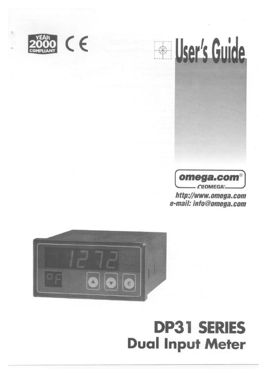





http://www.omega.com e-mail: info@omega.com



# **DP31 SERIES Dual Input Meter**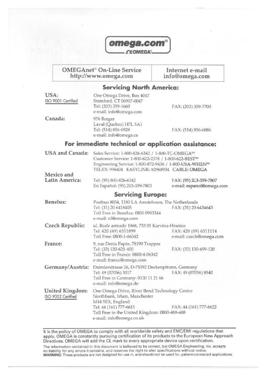

**OMEGAnet<sup>®</sup> On-Line Service** http://www.omega.com

Internet e-mail info@omega.com

### **Servicing North America:**

| USA:<br>ISO 9001 Certified            | One Omega Drive, Box 4047<br>Stamford, CT 06907-0047<br>Tel: (203) 359-1660<br>e-mail: info@omega.com                                                                                                                                                  | FAX: (203) 359-7700                                 |
|---------------------------------------|--------------------------------------------------------------------------------------------------------------------------------------------------------------------------------------------------------------------------------------------------------|-----------------------------------------------------|
| Canada:                               | 976 Bergar<br>Laval (Quebec) H7L 5A1<br>Tel: (514) 856-6928<br>e-mail: info@omega.ca                                                                                                                                                                   | FAX: (514) 856-6886                                 |
|                                       | For immediate technical or application assistance:                                                                                                                                                                                                     |                                                     |
| <b>USA</b> and Canada:                | Sales Service: 1-800-826-6342 / 1-800-TC-OMEGA <sup>SM</sup><br>Customer Service: 1-800-622-2378 / 1-800-622-BEST <sup>5M</sup><br>Engineering Service: 1-800-872-9436 / 1-800-USA-WHEN <sup>5M</sup><br>TELEX: 996404 EASYLINK: 62968934 CABLE: OMEGA |                                                     |
| Mexico and                            |                                                                                                                                                                                                                                                        |                                                     |
| Latin America:                        | Tel: (95) 800-826-6342<br>En Español: (95) 203-359-7803                                                                                                                                                                                                | FAX: (95) 2C3-359-7807<br>e-mail: espanol@omega.com |
|                                       | <b>Servicing Europe:</b>                                                                                                                                                                                                                               |                                                     |
| Benelux:                              | Postbus 8034, 1180 LA Amstelveen, The Netherlands<br>Tel: (31) 20 6418405<br>Toll Free in Benelux: 0800 0993344<br>e-mail: nl@omega.com                                                                                                                | FAX: (31) 20 6434643                                |
| Czech Republic:                       | ul. Rude armady 1868, 733 01 Karvina-Hranice<br>Tel: 420 (69) 6311899<br>Toll Free: 0800-1-66342                                                                                                                                                       | FAX: 420 (69) 6311114<br>e-mail: czech@omega.com    |
| France:                               | 9, rue Denis Papin, 78190 Trappes<br>Tel: (33) 130-621-400<br>Toll Free in France: 0800-4-06342<br>e-mail: france@omega.com                                                                                                                            | FAX: (33) 130-699-120                               |
| Germany/Austria:                      | Daimlerstrasse 26, D-75392 Deckenpfronn, Germany<br>Tel: 49 (07056) 3017<br>Toll Free in Germany: 0130 11 21 66<br>e-mail: info@omega.de                                                                                                               | FAX: 49 (07056) 8540                                |
| United Kingdom:<br>ISO 9002 Certified | One Omega Drive, River Bend Technology Centre<br>Northbank, Irlam, Manchester<br>M44 5EX, England<br>Tel: 44 (161) 777-6611<br>Toll Free in the United Kingdom: 0800-488-488<br>e-mail: info@omega.co.uk                                               | FAX: 44 (161) 777-6622                              |

It is the policy of OMEGA to comply with all worldwide safety and EMC/EMI regulations that apply. OMEGA is constantly pursuing certification of its products to the European New Approach Directives. OMEGA will add the CE mark to every appropriate device upon certification.

The information contained in this document is believed to be correct, but OMEGA Engineering, Inc. accepts no liability for any errors it contains, and reserves the right to alter specifications without notice.<br>WARNING: These products are not designed for use in, and should not be used for, patient-connected applications.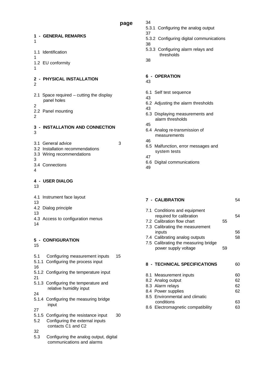**page**

- **1 GENERAL REMARKS**  1 1.1 Identification 1 1.2 EU conformity 1 **2 - PHYSICAL INSTALLATION**  2 2.1 Space required – cutting the display panel holes 2 2.2 Panel mounting 2 **3 - INSTALLATION AND CONNECTION** 3 3.1 General advice 3 3.2 Installation recommendations 3.3 Wiring recommendations 3 3.4 Connections 4 **4 - USER DIALOG**  13 4.1 Instrument face layout 13 4.2 Dialog principle 13 4.3 Access to configuration menus 14 **5 - CONFIGURATION**  15 5.1 Configuring measurement inputs 15 5.1.1 Configuring the process input 16 5.1.2 Configuring the temperature input 21 5.1.3 Configuring the temperature and relative humidity input 24 5.1.4 Configuring the measuring bridge input 27
- 5.1.5 Configuring the resistance input 30
- 5.2 Configuring the external inputs contacts C1 and C2
- 32
- 5.3 Configuring the analog output, digital communications and alarms
- 34
	- 5.3.1 Configuring the analog output
	- 37
	- 5.3.2 Configuring digital communications
	- 38 5.3.3 Configuring alarm relays and thresholds
	- 38

#### **6 - OPERATION**

- 43
- 6.1 Self test sequence
- 43
- 6.2 Adjusting the alarm thresholds
- 43
- 6.3 Displaying measurements and alarm thresholds
- 45
- 6.4 Analog re-transmission of measurements
- 46
- 6.5 Malfunction, error messages and system tests
- 47 6.6 Digital communications
- 49

#### **7 - CALIBRATION** 54

| 7.1 Conditions and equipment<br>required for calibration |    | 54 |
|----------------------------------------------------------|----|----|
| 7.2 Calibration flow chart                               | 55 |    |
| 7.3 Calibrating the measurement                          |    |    |
| inputs                                                   |    | 56 |
| 7.4 Calibrating analog outputs                           |    | 58 |
| 7.5 Calibrating the measuring bridge                     |    |    |
| power supply voltage                                     | 59 |    |
|                                                          |    |    |
| 8 - TECHNICAL SPECIFICATIONS                             |    | 60 |
| 8.1 Measurement inputs                                   |    |    |

- 8.2 Analog output 62 8.3 Alarm relays 62 8.4 Power supplies 62 8.5 Environmental and climatic conditions 63
- 8.6 Electromagnetic compatibility 63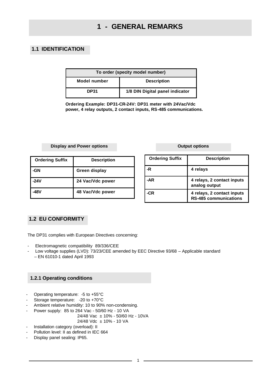#### **1.1 IDENTIFICATION**

| To order (specity model number)           |                                 |  |
|-------------------------------------------|---------------------------------|--|
| <b>Description</b><br><b>Model number</b> |                                 |  |
| <b>DP31</b>                               | 1/8 DIN Digital panel indicator |  |

**Ordering Example: DP31-CR-24V: DP31 meter with 24Vac/Vdc power, 4 relay outputs, 2 contact inputs, RS-485 communications.**

#### **Display and Power options**

| <b>Ordering Suffix</b> | <b>Description</b>   |
|------------------------|----------------------|
| GΝ                     | <b>Green display</b> |
| <b>-24V</b>            | 24 Vac/Vdc power     |
| I8V                    | 48 Vac/Vdc power     |

**Output options**

| <b>Ordering Suffix</b> | <b>Description</b>                                         |
|------------------------|------------------------------------------------------------|
| -R                     | 4 relays                                                   |
| -AR                    | 4 relays, 2 contact inputs<br>analog output                |
| CR                     | 4 relays, 2 contact inputs<br><b>RS-485 communications</b> |

#### **1.2 EU CONFORMITY**

The DP31 complies with European Directives concerning:

- Electromagnetic compatibility 89/336/CEE
- Low voltage supplies (LVD): 73/23/CEE amended by EEC Directive 93/68 Applicable standard – EN 61010-1 dated April 1993

#### **1.2.1 Operating conditions**

- Operating temperature: -5 to +55°C
- Storage temperature: -20 to +70°C
- Ambient relative humidity: 10 to 90% non-condensing.
- Power supply: 85 to 264 Vac 50/60 Hz 10 VA

$$
24/48
$$
  $Vac \pm 10\% - 50/60$  Hz - 10VA

24/48 Vdc ± 10% - 10 VA

- Installation category (overload): II
- Pollution level: II as defined in IEC 664
- Display panel sealing: IP65.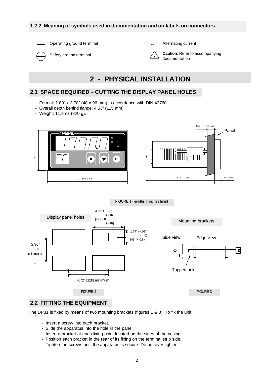#### **1.2.2. Meaning of symbols used in documentation and on labels on connectors**



Operating ground terminal

Safety ground terminal

**~** Alternating current



**Caution**: Refer to accompanying documentation

### **2 - PHYSICAL INSTALLATION**

#### **2.1 SPACE REQUIRED – CUTTING THE DISPLAY PANEL HOLES**

- Format: 1.89" x 3.78" (48 x 96 mm) in accordance with DIN 43760
- Overall depth behind flange: 4.53" (115 mm).
- Weight: 11.3 oz (320 g).







#### **2.2 FITTING THE EQUIPMENT**

 $\overline{a}$ 

The DP31 is fixed by means of two mounting brackets (figures 1 & 3). To fix the unit:

- Insert a screw into each bracket.
- Slide the apparatus into the hole in the panel.
- Insert a bracket at each fixing point located on the sides of the casing.
- Position each bracket in the rear of its fixing on the terminal strip side.
- Tighten the screws until the apparatus is secure. Do not over-tighten.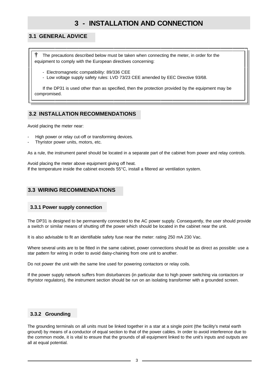### **3 - INSTALLATION AND CONNECTION**

#### **3.1 GENERAL ADVICE**

**†** The precautions described below must be taken when connecting the meter, in order for the equipment to comply with the European directives concerning:

- Electromagnetic compatibility: 89/336 CEE
- Low voltage supply safety rules: LVD 73/23 CEE amended by EEC Directive 93/68.

 If the DP31 is used other than as specified, then the protection provided by the equipment may be compromised.

#### **3.2 INSTALLATION RECOMMENDATIONS**

Avoid placing the meter near:

- High power or relay cut-off or transforming devices.
- Thyristor power units, motors, etc.

As a rule, the instrument panel should be located in a separate part of the cabinet from power and relay controls.

Avoid placing the meter above equipment giving off heat. If the temperature inside the cabinet exceeds 55°C, install a filtered air ventilation system.

#### **3.3 WIRING RECOMMENDATIONS**

#### **3.3.1 Power supply connection**

The DP31 is designed to be permanently connected to the AC power supply. Consequently, the user should provide a switch or similar means of shutting off the power which should be located in the cabinet near the unit.

It is also advisable to fit an identifiable safety fuse near the meter: rating 250 mA 230 Vac.

Where several units are to be fitted in the same cabinet, power connections should be as direct as possible: use a star pattern for wiring in order to avoid daisy-chaining from one unit to another.

Do not power the unit with the same line used for powering contactors or relay coils.

If the power supply network suffers from disturbances (in particular due to high power switching via contactors or thyristor regulators), the instrument section should be run on an isolating transformer with a grounded screen.

#### **3.3.2 Grounding**

The grounding terminals on all units must be linked together in a star at a single point (the facility's metal earth ground) by means of a conductor of equal section to that of the power cables. In order to avoid interference due to the common mode, it is vital to ensure that the grounds of all equipment linked to the unit's inputs and outputs are all at equal potential.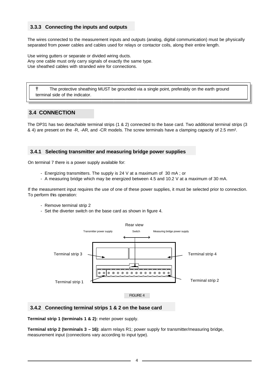#### **3.3.3 Connecting the inputs and outputs**

The wires connected to the measurement inputs and outputs (analog, digital communication) must be physically separated from power cables and cables used for relays or contactor coils, along their entire length.

Use wiring gutters or separate or divided wiring ducts. Any one cable must only carry signals of exactly the same type. Use sheathed cables with stranded wire for connections.

 **†** The protective sheathing MUST be grounded via a single point, preferably on the earth ground terminal side of the indicator.

#### **3.4 CONNECTION**

The DP31 has two detachable terminal strips (1 & 2) connected to the base card. Two additional terminal strips (3 & 4) are present on the -R, -AR, and -CR models. The screw terminals have a clamping capacity of 2.5 mm².

#### **3.4.1 Selecting transmitter and measuring bridge power supplies**

On terminal 7 there is a power supply available for:

- Energizing transmitters. The supply is 24 V at a maximum of 30 mA ; or
- A measuring bridge which may be energized between 4.5 and 10.2 V at a maximum of 30 mA.

If the measurement input requires the use of one of these power supplies, it must be selected prior to connection. To perform this operation:

- Remove terminal strip 2
- Set the diverter switch on the base card as shown in figure 4.



#### **3.4.2 Connecting terminal strips 1 & 2 on the base card**

**Terminal strip 1 (terminals 1 & 2):** meter power supply.

**Terminal strip 2 (terminals 3 – 16):** alarm relays R1; power supply for transmitter/measuring bridge, measurement input (connections vary according to input type).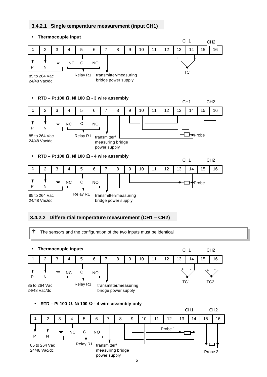#### **3.4.2.1 Single temperature measurement (input CH1)**

ß **Thermocouple input**



#### **3.4.2.2 Differential temperature measurement (CH1 – CH2)**

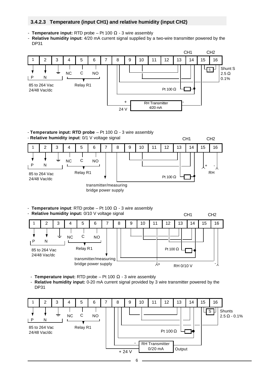#### **3.4.2.3 Temperature (input CH1) and relative humidity (input CH2)**

- - **Temperature input:** RTD probe Pt 100 Ω 3 wire assembly
- **Relative humidity input:** 4/20 mA current signal supplied by a two-wire transmitter powered by the DP31



- **Temperature input: RTD probe** – Pt 100 Ω - 3 wire assembly - **Relative humidity input**: 0/1 V voltage signal



- **Temperature input**: RTD probe – Pt 100  $\Omega$  - 3 wire assembly



- **Temperature input:** RTD probe Pt 100  $\Omega$  3 wire assembly
- **Relative humidity input:** 0-20 mA current signal provided by 3 wire transmitter powered by the DP31

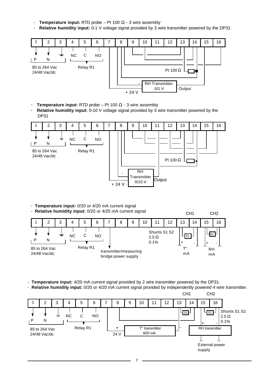- **Temperature input:** RTD probe  $-$  Pt 100  $\Omega$  3 wire assembly
- **Relative humidity input:** 0-1 V voltage signal provided by 3 wire transmitter powered by the DP31



- **Temperature input:** RTD probe Pt 100 Ω 3 wire assembly
- **Relative humidity input:** 0-10 V voltage signal provided by 3 wire transmitter powered by the DP31



- **Temperature input:** 0/20 or 4/20 mA current signal

- **Relative humidity input:** 0/20 or 4/20 mA current signal



- - **Temperature input:** 4/20 mA current signal provided by 2 wire transmitter powered by the DP31.
- **Relative humidity input:** 0/20 or 4/20 mA current signal provided by independently powered 4 wire transmitter.

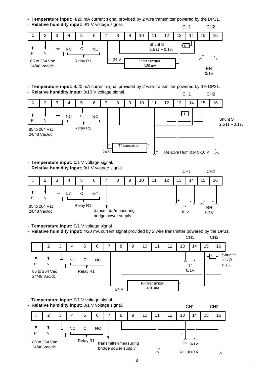- **Temperature input:** 4/20 mA current signal provided by 2 wire transmitter powered by the DP31.



- **Temperature input:** 4/20 mA current signal provided by 2 wire transmitter powered by the DP31. - **Relative humidity input:** 0/10 V voltage signal. CH1 CH2



- **Temperature input:** 0/1 V voltage signal.

- **Relative humidity input**: 0/1 V voltage signal.



- **Temperature input:** 0/1 V voltage signal

- **Relative humidity input**: 4/20 mA current signal provided by 2 wire transmitter powered by the DP31.



- **Temperature input:** 0/1 V voltage signal.

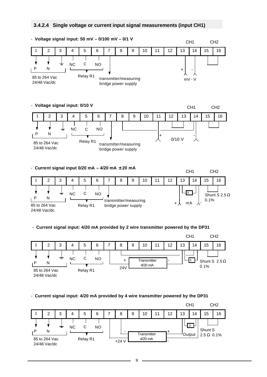#### **3.4.2.4 Single voltage or current input signal measurements (input CH1)**



- **Current signal input: 4/20 mA provided by 4 wire transmitter powered by the DP31**

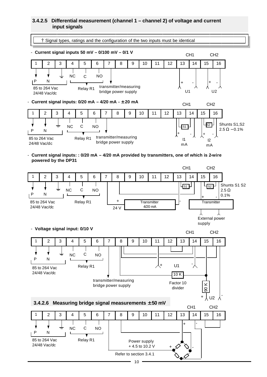#### **3.4.2.5 Differential measurement (channel 1 – channel 2) of voltage and current input signals**

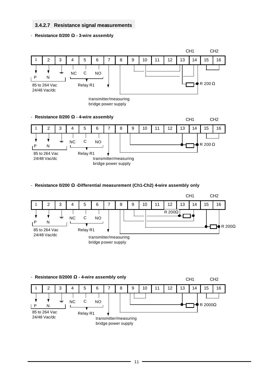#### **3.4.2.7 Resistance signal measurements**

#### - **Resistance 0/200 W - 3-wire assembly**



- **Resistance 0/200 W -Differential measurement (Ch1-Ch2) 4-wire assembly only**



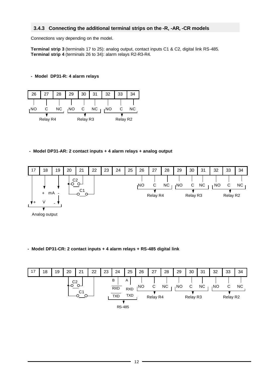#### **3.4.3 Connecting the additional terminal strips on the -R, -AR, -CR models**

Connections vary depending on the model.

**Terminal strip 3** (terminals 17 to 25): analog output, contact inputs C1 & C2, digital link RS-485. **Terminal strip 4** (terminals 26 to 34): alarm relays R2-R3-R4.

#### **- Model DP31-R: 4 alarm relays**



**- Model DP31-AR: 2 contact inputs + 4 alarm relays + analog output**



#### **- Model DP31-CR: 2 contact inputs + 4 alarm relays + RS-485 digital link**

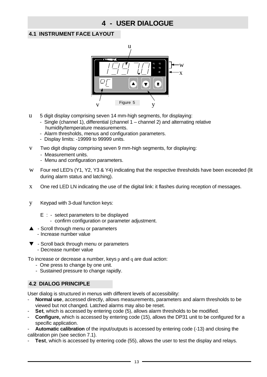### **4 - USER DIALOGUE**

#### **4.1 INSTRUMENT FACE LAYOUT**



- u 5 digit display comprising seven 14 mm-high segments, for displaying:
	- Single (channel 1), differential (channel 1 channel 2) and alternating relative humidity/temperature measurements.
	- Alarm thresholds, menus and configuration parameters.
	- Display limits: -19999 to 99999 units.
- v Two digit display comprising seven 9 mm-high segments, for displaying:
	- Measurement units.
	- Menu and configuration parameters.
- w Four red LED's (Y1, Y2, Y3 & Y4) indicating that the respective thresholds have been exceeded (lit during alarm status and latching).
- x One red LED LN indicating the use of the digital link: it flashes during reception of messages.
- y Keypad with 3-dual function keys:
	- E : select parameters to be displayed
		- confirm configuration or parameter adjustment.
- $\triangle$  Scroll through menu or parameters - Increase number value
- $\blacktriangledown$  Scroll back through menu or parameters - Decrease number value

To increase or decrease a number, keys p and q are dual action:

- One press to change by one unit.
- Sustained pressure to change rapidly.

#### **4.2 DIALOG PRINCIPLE**

User dialog is structured in menus with different levels of accessibility:

- Normal use, accessed directly, allows measurements, parameters and alarm thresholds to be viewed but not changed. Latched alarms may also be reset.
	- **Set**, which is accessed by entering code (5), allows alarm thresholds to be modified.
- **Configure,** which is accessed by entering code (15), allows the DP31 unit to be configured for a specific application.

- **Automatic calibration** of the input/outputs is accessed by entering code (-13) and closing the calibration pin (see section 7.1).

**Test**, which is accessed by entering code (55), allows the user to test the display and relays.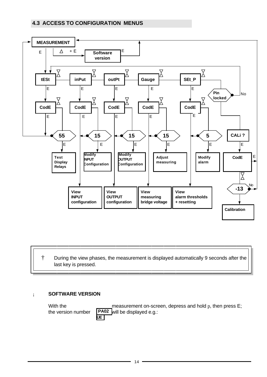#### **4.3 ACCESS TO CONFIGURATION MENUS**



#### † During the view phases, the measurement is displayed automatically 9 seconds after the last key is pressed.

#### ¡ **SOFTWARE VERSION**

 $\overline{\phantom{a}}$ 

With the measurement on-screen, depress and hold p, then press E;<br>the version number  $PAO2$  will be displayed e.g.: the version number **PA02** will be displayed e.g.: **UE**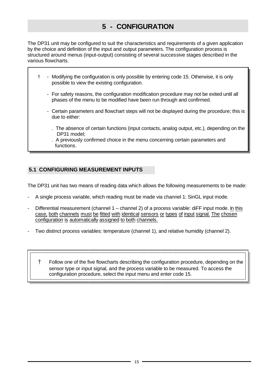### **5 - CONFIGURATION**

The DP31 unit may be configured to suit the characteristics and requirements of a given application by the choice and definition of the input and output parameters. The configuration process is structured around menus (input-output) consisting of several successive stages described in the various flowcharts.

- † Modifying the configuration is only possible by entering code 15. Otherwise, it is only possible to view the existing configuration.
	- For safety reasons, the configuration modification procedure may not be exited until all phases of the menu to be modified have been run through and confirmed.
	- Certain parameters and flowchart steps will not be displayed during the procedure; this is due to either:
		- . The absence of certain functions (input contacts, analog output, etc.), depending on the DP31 model;
		- . A previously confirmed choice in the menu concerning certain parameters and functions.

#### **5.1 CONFIGURING MEASUREMENT INPUTS**

The DP31 unit has two means of reading data which allows the following measurements to be made:

- A single process variable, which reading must be made via channel 1: SinGL input mode.
- Differential measurement (channel 1 channel 2) of a process variable: diFF input mode. In this case, both channels must be fitted with identical sensors or types of input signal. The chosen configuration is automatically assigned to both channels.
- Two distinct process variables: temperature (channel 1), and relative humidity (channel 2).

 † Follow one of the five flowcharts describing the configuration procedure, depending on the sensor type or input signal, and the process variable to be measured. To access the configuration procedure, select the input menu and enter code 15.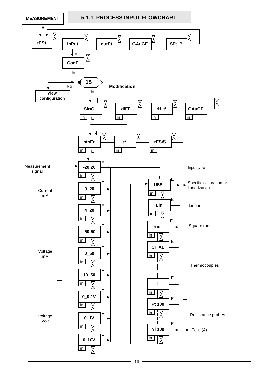**MEASUREMENT**

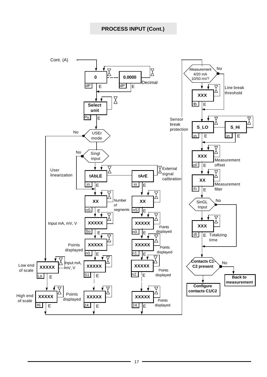#### **PROCESS INPUT (Cont.)**

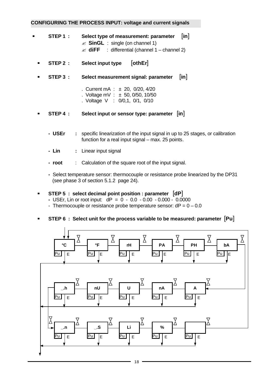#### **CONFIGURING THE PROCESS INPUT: voltage and current signals**

- **ß STEP 1 : Select type of measurement: parameter** [**in**]  $\approx$  **SinGL** : single (on channel 1)  $\mathscr{A}$  **diFF** : differential (channel 1 – channel 2)
	- **ß STEP 2 : Select input type** [**othEr**]
	- **ß STEP 3 : Select measurement signal: parameter** [**in**]
		- .Current mA : ± 20, 0/20, 4/20 . Voltage mV :  $\pm$  50, 0/50, 10/50
		- . Voltage V : 0/0,1, 0/1, 0/10
	- **ß STEP 4 : Select input or sensor type: parameter** [**in**]
		- **USEr :** specific linearization of the input signal in up to 25 stages, or calibration function for a real input signal – max. 25 points.
		- **Lin :** Linear input signal
		- **root** : Calculation of the square root of the input signal.
		- Select temperature sensor: thermocouple or resistance probe linearized by the DP31 (see phase 3 of section 5.1.2 page 24).

#### **ß STEP 5 : select decimal point position : parameter** [**dP**]

- USEr, Lin or root input: dP = 0 0.0 0.00 0.000 0.0000
- Thermocouple or resistance probe temperature sensor:  $dP = 0 0.0$

#### **ß STEP 6 : Select unit for the process variable to be measured: parameter** [**Pu**]

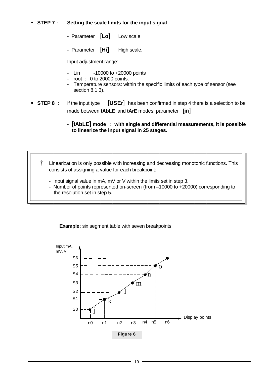#### **BIEP 7 : Setting the scale limits for the input signal**

- Parameter [**Lo**] : Low scale.
- Parameter [**Hi]** : High scale.

Input adjustment range:

- Lin : -10000 to +20000 points
- root  $\div$  0 to 20000 points.
- Temperature sensors: within the specific limits of each type of sensor (see section 8.1.3).
- **STEP 8** : If the input type **[USEr]** has been confirmed in step 4 there is a selection to be made between **tAbLE** and **tArE** modes: parameter **[in**]

#### - **[tAbLE] mode : with single and differential measurements, it is possible to linearize the input signal in 25 stages.**

 **†** Linearization is only possible with increasing and decreasing monotonic functions. This consists of assigning a value for each breakpoint:

- Input signal value in mA, mV or V within the limits set in step 3.
- Number of points represented on-screen (from –10000 to +20000) corresponding to the resolution set in step 5.

**Example:** six segment table with seven breakpoints

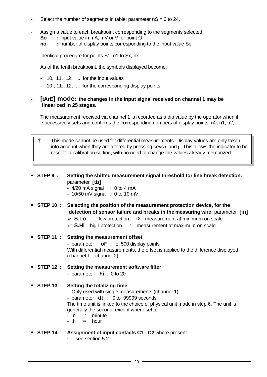- Select the number of segments in table: parameter  $nS = 0$  to 24.
- Assign a value to each breakpoint corresponding to the segments selected.
	- **So :** input value in mA, mV or V for point O.
	- **no.** : number of display points corresponding to the input value So

Identical procedure for points S1, n1 to Sx, nx.

As of the tenth breakpoint, the symbols displayed become:

- 10, 11, 12 ... for the input values
- 10., 11., 12. ... for the corresponding display points.
- **[tArE] mode: the changes in the input signal received on channel 1 may be linearized in 25 stages.**

 The measurement received via channel 1 is recorded as a dip value by the operator when it successively sets and confirms the corresponding numbers of display points: n0, n1, n2, …

 **†** This mode cannot be used for differential measurements. Display values are only taken into account when they are altered by pressing keys q and p. This allows the indicator to be reset to a calibration setting, with no need to change the values already memorized.

- **ß STEP 9 : Setting the shifted measurement signal threshold for line break detection:**  parameter **[tb]**
	- $-4/20$  mA signal  $\therefore$  0 to 4 mA
	- $-10/50$  mV signal  $\div$  0 to 10 mV
- **ß STEP 10 : Selecting the position of the measurement protection device, for the detection of sensor failure and breaks in the measuring wire:** parameter **[in]**
	- $\mathscr{E}$  **S.Lo** : low protection  $\Rightarrow$  measurement at minimum on scale
	- $\mathscr{L}$  **S.Hi** : high protection  $\Rightarrow$  measurement at maximum on scale.
- **ß STEP 11 : Setting the measurement offset** - parameter **oF** : ± 500 display points With differential measurements, the offset is applied to the difference displayed (channel 1 – channel 2)
- **ß STEP 12 : Setting the measurement software filter**
	- parameter **Fi** : 0 to 20

#### **ß STEP 13** : **Setting the totalizing time**

- Only used with single measurements (channel 1)
- parameter **dt** : 0 to 99999 seconds

 The time unit is linked to the choice of physical unit made in step 6. The unit is generally the second, except where set to:

- .n  $\Rightarrow$  minute
- .h  $\Rightarrow$  hour
- **ß STEP 14** : **Assignment of input contacts C1 C2** where present
	- $\Rightarrow$  see section 5.2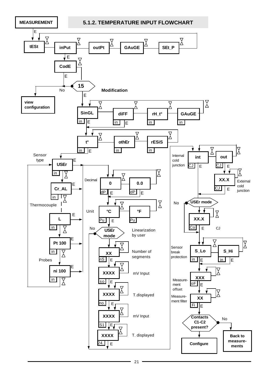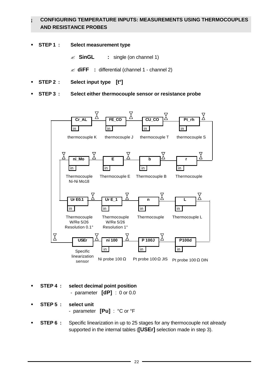#### **¡ CONFIGURING TEMPERATURE INPUTS: MEASUREMENTS USING THERMOCOUPLES AND RESISTANCE PROBES**

- ß **STEP 1 : Select measurement type**
	- ? **SinGL :** single (on channel 1)
	- ? **diFF :** differential (channel 1 channel 2)
- ß **STEP 2 : Select input type [t°]**
- ß **STEP 3 : Select either thermocouple sensor or resistance probe**



- ß **STEP 4 : select decimal point position** - parameter **[dP]** : 0 or 0.0
- ß **STEP 5 : select unit**

- parameter **[Pu]** : °C or °F

**STEP 6 :** Specific linearization in up to 25 stages for any thermocouple not already supported in the internal tables (**[USEr]** selection made in step 3).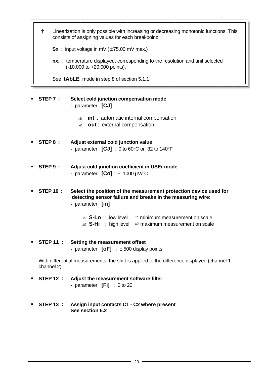**†** Linearization is only possible with increasing or decreasing monotonic functions. This consists of assigning values for each breakpoint:

**Sx** : input voltage in mV  $(\pm 75.00 \text{ mV} \text{ max.})$ 

 **nx.** : temperature displayed, corresponding to the resolution and unit selected (-10,000 to +20,000 points).

See **tAbLE** mode in step 8 of section 5.1.1

- ß **STEP 7 : Select cold junction compensation mode -** parameter **[CJ]**
	- $\mathscr{A}$  int : automatic internal compensation
	- ? **out** : external compensation
- ß **STEP 8 : Adjust external cold junction value -** parameter **[CJ]** : 0 to 60°C or 32 to 140°F
- ß **STEP 9 : Adjust cold junction coefficient in USEr mode -** parameter **[Co]** : ± 1000 µV/°C
- ß **STEP 10 : Select the position of the measurement protection device used for detecting sensor failure and breaks in the measuring wire: -** parameter **[in]**
	- $\mathscr{L}$  **S-Lo** : low level  $\Rightarrow$  minimum measurement on scale
	- $\mathscr{L}$  **S-Hi** : high level  $\Rightarrow$  maximum measurement on scale
- ß **STEP 11 : Setting the measurement offset -** parameter **[oF]** : ± 500 display points

With differential measurements, the shift is applied to the difference displayed (channel 1 – channel 2)

- ß **STEP 12 : Adjust the measurement software filter -** parameter **[Fi]** : 0 to 20
- ß **STEP 13 : Assign input contacts C1 C2 where present See section 5.2**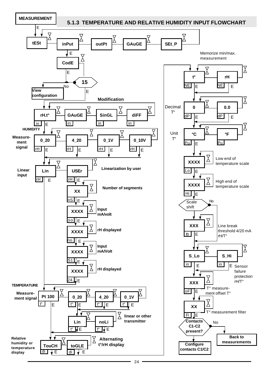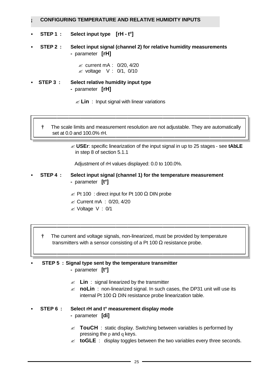#### **¡ CONFIGURING TEMPERATURE AND RELATIVE HUMIDITY INPUTS**

- ß **STEP 1 : Select input type [rH t°]**
- ß **STEP 2 : Select input signal (channel 2) for relative humidity measurements -** parameter **[rH]**

 $\approx$  current mA : 0/20, 4/20  $\approx$  voltage V : 0/1, 0/10

- ß **STEP 3 : Select relative humidity input type -** parameter **[rH]**
	- $\mathscr{A}$  **Lin** : Input signal with linear variations

 **†** The scale limits and measurement resolution are not adjustable. They are automatically set at 0.0 and 100.0% rH.

> ? **USEr**: specific linearization of the input signal in up to 25 stages - see **tAbLE** in step 8 of section 5.1.1

Adjustment of rH values displayed: 0.0 to 100.0%.

- ß **STEP 4 : Select input signal (channel 1) for the temperature measurement -** parameter **[t°]**
	- $\approx$  Pt 100 : direct input for Pt 100  $\Omega$  DIN probe
	- $\approx$  Current mA : 0/20, 4/20
	- $\mathscr{\mathscr{A}}$  Voltage V : 0/1
	- **†** The current and voltage signals, non-linearized, must be provided by temperature transmitters with a sensor consisting of a Pt 100 Ω resistance probe.

ß **STEP 5 : Signal type sent by the temperature transmitter -** parameter **[t°]**

- $\mathscr{L}$  **Lin** : signal linearized by the transmitter
- $\le$  **noLin**: non-linearized signal. In such cases, the DP31 unit will use its internal Pt 100 Ω DIN resistance probe linearization table.
- ß **STEP 6 : Select rH and t° measurement display mode**
	- parameter **[di]**
	- $\mathscr{A}$  **TouCH** : static display. Switching between variables is performed by pressing the p and q keys.
	- $\mathscr{L}$  **toGLE** : display toggles between the two variables every three seconds.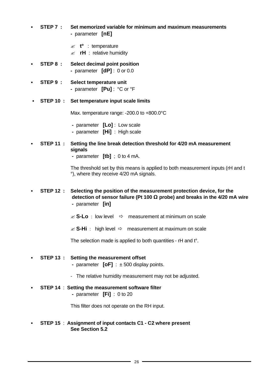- ß **STEP 7 : Set memorized variable for minimum and maximum measurements -** parameter **[nE]**
	- ? **t°** : temperature
	- $\approx$  **rH** : relative humidity
- ß **STEP 8 : Select decimal point position -** parameter **[dP]** : 0 or 0.0
- ß **STEP 9 : Select temperature unit -** parameter **[Pu]** : °C or °F
- ß **STEP 10 : Set temperature input scale limits**

Max. temperature range: -200.0 to +800.0°C

- parameter **[Lo]** : Low scale
- parameter **[Hi]** : High scale
- ß **STEP 11 : Setting the line break detection threshold for 4/20 mA measurement signals**
	- parameter **[tb]** ; 0 to 4 mA.

 The threshold set by this means is applied to both measurement inputs (rH and t °), where they receive 4/20 mA signals.

ß **STEP 12 : Selecting the position of the measurement protection device, for the detection of sensor failure (Pt 100 W probe) and breaks in the 4/20 mA wire -** parameter **[in]** 

- $\mathscr{L}$  **S-Lo** : low level  $\Rightarrow$  measurement at minimum on scale
- $\mathcal{L}$  **S-Hi** : high level  $\Rightarrow$  measurement at maximum on scale

The selection made is applied to both quantities - rH and t°.

#### ß **STEP 13 : Setting the measurement offset**

- parameter **[oF]** : ± 500 display points.
- The relative humidity measurement may not be adjusted.

#### ß **STEP 14** : **Setting the measurement software filter**

 **-** parameter **[Fi]** : 0 to 20

This filter does not operate on the RH input.

#### ß **STEP 15** : **Assignment of input contacts C1 - C2 where present See Section 5.2**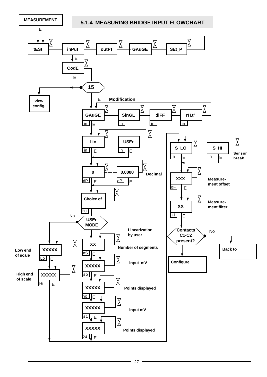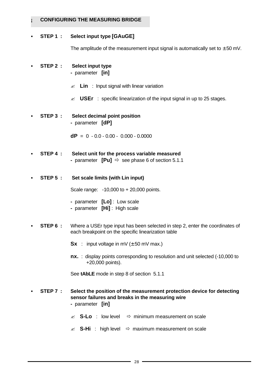#### **CONFIGURING THE MEASURING BRIDGE**

#### ß **STEP 1 : Select input type [GAuGE]**

The amplitude of the measurement input signal is automatically set to  $\pm$  50 mV.

- ß **STEP 2 : Select input type -** parameter **[in]** 
	- $\mathscr{A}$  **Lin** : Input signal with linear variation
	- $\mathscr{L}$  **USEr** : specific linearization of the input signal in up to 25 stages.
- ß **STEP 3 : Select decimal point position -** parameter **[dP]**

 **dP** =0 - 0.0 - 0.00 - 0.000 - 0.0000

- ß **STEP 4 : Select unit for the process variable measured -** parameter **[Pu]** ðsee phase 6 of section 5.1.1
- ß **STEP 5 : Set scale limits (with Lin input)**

Scale range: -10,000 to + 20,000 points.

- parameter **[Lo]** : Low scale
- parameter **[Hi]** : High scale
- **STEP 6 :** Where a USE rtype input has been selected in step 2, enter the coordinates of each breakpoint on the specific linearization table
	- $Sx$  : input voltage in mV ( $\pm$  50 mV max.)
	- **nx.** : display points corresponding to resolution and unit selected (-10,000 to +20,000 points).

See **tAbLE** mode in step 8 of section 5.1.1

- ß **STEP 7 : Select the position of the measurement protection device for detecting sensor failures and breaks in the measuring wire -** parameter **[in]**
	- $\mathscr{L}$  **S-Lo** : low level  $\Rightarrow$  minimum measurement on scale
	- $\mathcal{L}$  **S-Hi** : high level  $\Rightarrow$  maximum measurement on scale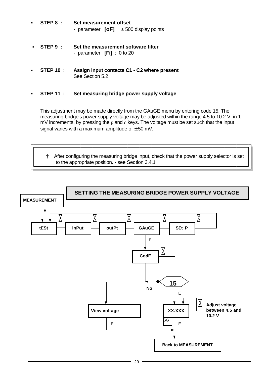- ß **STEP 8 : Set measurement offset -** parameter **[oF]** : ± 500 display points
- ß **STEP 9 : Set the measurement software filter** - parameter **[Fi]** : 0 to 20
- ß **STEP 10 : Assign input contacts C1 C2 where present** See Section 5.2
- ß **STEP 11 : Set measuring bridge power supply voltage**

 This adjustment may be made directly from the GAuGE menu by entering code 15. The measuring bridge's power supply voltage may be adjusted within the range 4.5 to 10.2 V, in 1 mV increments, by pressing the p and q keys. The voltage must be set such that the input signal varies with a maximum amplitude of  $\pm$  50 mV.

 **†** After configuring the measuring bridge input, check that the power supply selector is set to the appropriate position. - see Section 3.4.1

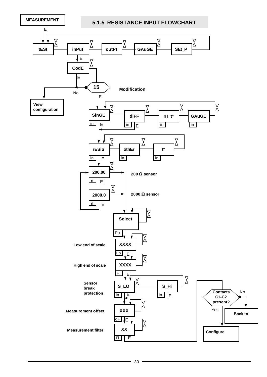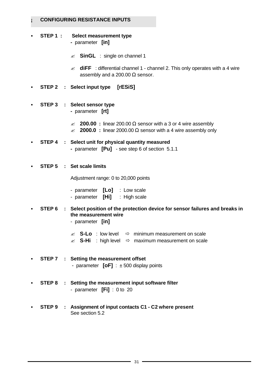#### **¡ CONFIGURING RESISTANCE INPUTS**

- **STEP 1 : Select measurement type** 
	- parameter **[in]**
	- ? **SinGL** : single on channel 1
	- $\mathcal{L}$  **diFF** : differential channel 1 channel 2. This only operates with a 4 wire assembly and a 200.00  $\Omega$  sensor.
- ß **STEP 2 : Select input type [rESiS]**
- ß **STEP 3 : Select sensor type -** parameter **[rt]**
	- ? **200.00 :** linear 200.00 Ω sensor with a 3 or 4 wire assembly
	- $\textless$  **2000.0 :** linear 2000.00 Ω sensor with a 4 wire assembly only
- ß **STEP 4 : Select unit for physical quantity measured -** parameter **[Pu]** - see step 6 of section 5.1.1
- ß **STEP 5 : Set scale limits**

Adjustment range: 0 to 20,000 points

| - parameter $[Lo]$ : Low scale |                               |
|--------------------------------|-------------------------------|
|                                | - parameter [Hi] : High scale |

ß **STEP 6 : Select position of the protection device for sensor failures and breaks in the measurement wire**

- parameter **[in]**

- $\mathscr{L}$  **S-Lo** : low level  $\Rightarrow$  minimum measurement on scale
- $\mathscr{L}$  **S-Hi** : high level  $\Rightarrow$  maximum measurement on scale
- ß **STEP 7 : Setting the measurement offset** - parameter **[oF]** : ± 500 display points
- ß **STEP 8 : Setting the measurement input software filter** - parameter **[Fi]** : 0 to 20
- ß **STEP 9 : Assignment of input contacts C1 C2 where present** See section 5.2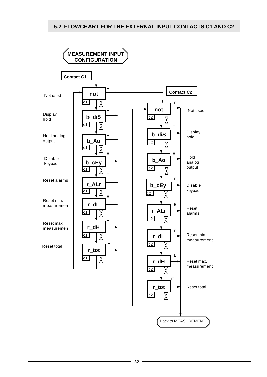#### **5.2 FLOWCHART FOR THE EXTERNAL INPUT CONTACTS C1 AND C2**

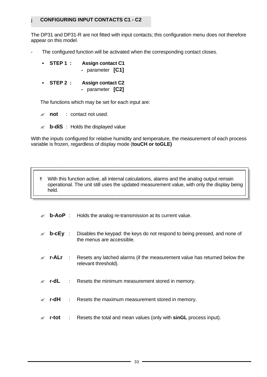#### **¡ CONFIGURING INPUT CONTACTS C1 - C2**

The DP31 and DP31-R are not fitted with input contacts; this configuration menu does not therefore appear on this model.

The configured function will be activated when the corresponding contact closes.

| STEP 1: | <b>Assign contact C1</b> |  |
|---------|--------------------------|--|
|         | - parameter [C1]         |  |

**STEP 2 : Assign contact C2 -** parameter **[C2]** 

The functions which may be set for each input are:

? **not** : contact not used.

? **b-diS** : Holds the displayed value

With the inputs configured for relative humidity and temperature, the measurement of each process variable is frozen, regardless of display mode (**touCH or toGLE)**

 **†** With this function active, all internal calculations, alarms and the analog output remain operational. The unit still uses the updated measurement value, with only the display being held.

- $\mathcal{L}$  **b-AoP** : Holds the analog re-transmission at its current value.
- **b-cEy** : Disables the keypad: the keys do not respond to being pressed, and none of the menus are accessible.
- $\epsilon$  **r-ALr** : Resets any latched alarms (if the measurement value has returned below the relevant threshold).
- $\le$  **r-dL** : Resets the minimum measurement stored in memory.
- **r-dH** : Resets the maximum measurement stored in memory.
- ? **r-tot** : Resets the total and mean values (only with **sinGL** process input).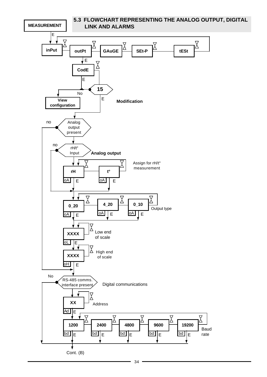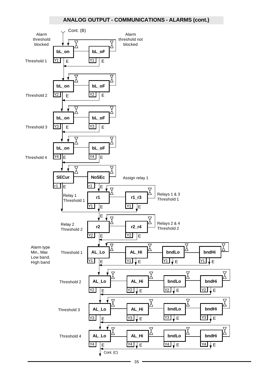#### **ANALOG OUTPUT - COMMUNICATIONS - ALARMS (cont.)**

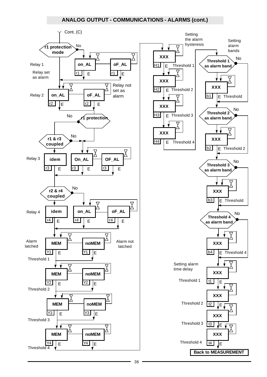#### **ANALOG OUTPUT - COMMUNICATIONS - ALARMS (cont.)**

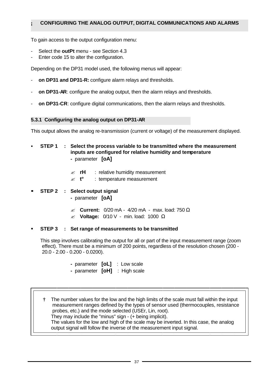#### **¡ CONFIGURING THE ANALOG OUTPUT, DIGITAL COMMUNICATIONS AND ALARMS**

To gain access to the output configuration menu:

- Select the **outPt** menu see Section 4.3
- Enter code 15 to alter the configuration.

Depending on the DP31 model used, the following menus will appear:

- on DP31 and DP31-R: configure alarm relays and thresholds.
- on DP31-AR: configure the analog output, then the alarm relays and thresholds.
- on DP31-CR: configure digital communications, then the alarm relays and thresholds.

#### **5.3.1 Configuring the analog output on DP31-AR**

This output allows the analog re-transmission (current or voltage) of the measurement displayed.

- ß **STEP 1 : Select the process variable to be transmitted where the measurement inputs are configured for relative humidity and temperature -** parameter **[oA]** 
	- $\leq$  **rH** : relative humidity measurement
	- ? **t°** : temperature measurement
- **ß STEP 2 : Select output signal -** parameter **[oA]** 
	- ? **Current:** 0/20 mA 4/20 mA max. load: 750 Ω
	- ? **Voltage:** 0/10 V min. load: 1000 Ω

#### ß **STEP 3 : Set range of measurements to be transmitted**

 This step involves calibrating the output for all or part of the input measurement range (zoom effect). There must be a minimum of 200 points, regardless of the resolution chosen (200 - 20.0 - 2.00 - 0.200 - 0.0200).

- parameter **[oL]** : Low scale
- parameter **[oH]** : High scale

 **†** The number values for the low and the high limits of the scale must fall within the input measurement ranges defined by the types of sensor used (thermocouples, resistance probes, etc.) and the mode selected (USEr, Lin, root). They may include the "minus" sign - (+ being implicit). The values for the low and high of the scale may be inverted. In this case, the analog output signal will follow the inverse of the measurement input signal.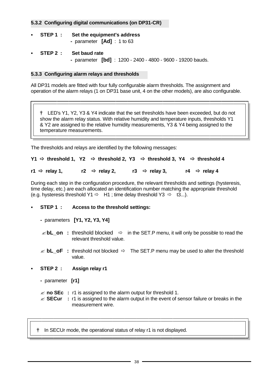#### **5.3.2 Configuring digital communications (on DP31-CR)**

- ß **STEP 1 : Set the equipment's address -** parameter **[Ad]** : 1 to 63
- ß **STEP 2 : Set baud rate -** parameter **[bd]** : 1200 - 2400 - 4800 - 9600 - 19200 bauds.

#### **5.3.3 Configuring alarm relays and thresholds**

All DP31 models are fitted with four fully configurable alarm thresholds. The assignment and operation of the alarm relays (1 on DP31 base unit, 4 on the other models), are also configurable.

 **†** LED's Y1, Y2, Y3 & Y4 indicate that the set thresholds have been exceeded, but do not show the alarm relay status. With relative humidity and temperature inputs, thresholds Y1 & Y2 are assigned to the relative humidity measurements, Y3 & Y4 being assigned to the temperature measurements.

The thresholds and relays are identified by the following messages:

#### **Y1 ð threshold 1, Y2 ð threshold 2, Y3 ð threshold 3, Y4 ð threshold 4**

**r1**  $\Rightarrow$  relay 1, **r2**  $\Rightarrow$  relay 2, **r3**  $\Rightarrow$  relay 3, **r4**  $\Rightarrow$  relay 4

During each step in the configuration procedure, the relevant thresholds and settings (hysteresis, time delay, etc.) are each allocated an identification number matching the appropriate threshold (e.g. hysteresis threshold Y1  $\Rightarrow$  H1 ; time delay threshold Y3  $\Rightarrow$  t3...).

#### ß **STEP 1 : Access to the threshold settings:**

- parameters **[Y1, Y2, Y3, Y4]**
- $\leq$ **bL** on : threshold blocked  $\Rightarrow$  in the SET.P menu, it will only be possible to read the relevant threshold value.
- $\mathcal{L}$  **bL\_oF** : threshold not blocked  $\Rightarrow$  The SET.P menu may be used to alter the threshold value.

#### ß **STEP 2 : Assign relay r1**

 **-** parameter **[r1]**

- $\approx$  **no SEc** : r1 is assigned to the alarm output for threshold 1.
- $\leq$  **SECur** : r1 is assigned to the alarm output in the event of sensor failure or breaks in the measurement wire.

**†** In SECUr mode, the operational status of relay r1 is not displayed.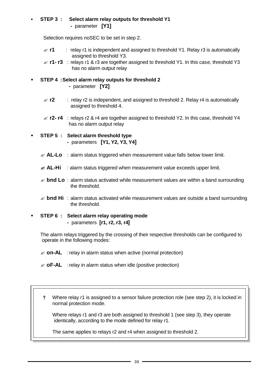#### ß **STEP 3 : Select alarm relay outputs for threshold Y1 -** parameter **[Y1]**

Selection requires noSEC to be set in step 2.

- $\le$  **r1** : relay r1 is independent and assigned to threshold Y1. Relay r3 is automatically assigned to threshold Y3.
- $\le$  **r1- r3** : relays r1 & r3 are together assigned to threshold Y1. In this case, threshold Y3 has no alarm output relay
- ß **STEP 4 :Select alarm relay outputs for threshold 2**
	- parameter **[Y2]**
	- $\le$  **<b>r2** : relay r2 is independent, and assigned to threshold 2. Relay r4 is automatically assigned to threshold 4.
	- $\le$  **r2- r4** : relays r2 & r4 are together assigned to threshold Y2. In this case, threshold Y4 has no alarm output relay
- ß **STEP 5 : Select alarm threshold type -** parameters **[Y1, Y2, Y3, Y4]** 
	- $\ll$  **AL-Lo** : alarm status triggered when measurement value falls below lower limit.
	- $\leq$  **AL-Hi** : alarm status triggered when measurement value exceeds upper limit.
	- $\mathcal{L}$  **bnd Lo** : alarm status activated while measurement values are within a band surrounding the threshold.
	- $\mathscr{L}$  **bnd Hi** : alarm status activated while measurement values are outside a band surrounding the threshold.
- ß **STEP 6 : Select alarm relay operating mode -** parameters **[r1, r2, r3, r4]**

The alarm relays triggered by the crossing of their respective thresholds can be configured to operate in the following modes:

- $\mathscr{L}$  **on-AL** : relay in alarm status when active (normal protection)
- $\mathscr{A}$  **oF-AL** : relay in alarm status when idle (positive protection)
- **†** Where relay r1 is assigned to a sensor failure protection role (see step 2), it is locked in normal protection mode.

Where relays r1 and r3 are both assigned to threshold 1 (see step 3), they operate identically, according to the mode defined for relay r1.

The same applies to relays r2 and r4 when assigned to threshold 2.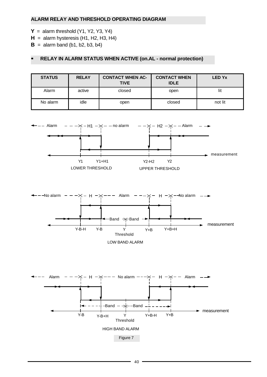#### **ALARM RELAY AND THRESHOLD OPERATING DIAGRAM**

- $Y =$  alarm threshold (Y1, Y2, Y3, Y4)
- $H =$  alarm hysteresis (H1, H2, H3, H4)
- $B =$  alarm band (b1, b2, b3, b4)

#### **ß RELAY IN ALARM STATUS WHEN ACTIVE (on.AL - normal protection)**

| <b>STATUS</b> | <b>RELAY</b> | <b>CONTACT WHEN AC-</b><br><b>TIVE</b> | <b>CONTACT WHEN</b><br><b>IDLE</b> | <b>LED Yx</b> |
|---------------|--------------|----------------------------------------|------------------------------------|---------------|
| Alarm         | active       | closed                                 | open                               | lit           |
| No alarm      | idle         | open                                   | closed                             | not lit       |





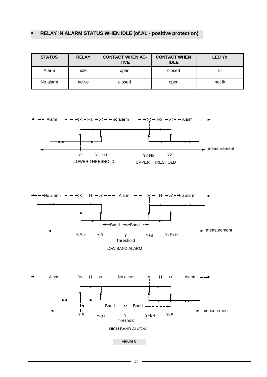### **ß RELAY IN ALARM STATUS WHEN IDLE (of.AL - positive protection)**

| <b>STATUS</b> | <b>RELAY</b> | <b>CONTACT WHEN AC-</b><br><b>TIVE</b> | <b>CONTACT WHEN</b><br><b>IDLE</b> | <b>LED Yx</b> |
|---------------|--------------|----------------------------------------|------------------------------------|---------------|
| Alarm         | idle         | open                                   | closed                             | lit           |
| No alarm      | active       | closed                                 | open                               | not lit       |





LOW BAND ALARM



**Figure 8**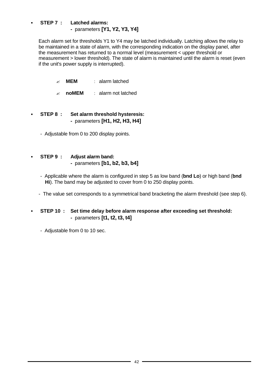#### ß **STEP 7 : Latched alarms: -** parameters **[Y1, Y2, Y3, Y4]**

 Each alarm set for thresholds Y1 to Y4 may be latched individually. Latching allows the relay to be maintained in a state of alarm, with the corresponding indication on the display panel, after the measurement has returned to a normal level (measurement < upper threshold or measurement > lower threshold). The state of alarm is maintained until the alarm is reset (even if the unit's power supply is interrupted).

- ? **MEM** : alarm latched
- ? **noMEM** : alarm not latched
- ß **STEP 8 : Set alarm threshold hysteresis: -** parameters **[H1, H2, H3, H4]** 
	- Adjustable from 0 to 200 display points.

#### ß **STEP 9 : Adjust alarm band: -** parameters **[b1, b2, b3, b4]**

- Applicable where the alarm is configured in step 5 as low band (**bnd Lo**) or high band (**bnd Hi**). The band may be adjusted to cover from 0 to 250 display points.
- The value set corresponds to a symmetrical band bracketing the alarm threshold (see step 6).
- ß **STEP 10 : Set time delay before alarm response after exceeding set threshold: -** parameters **[t1, t2, t3, t4]**

- Adjustable from 0 to 10 sec.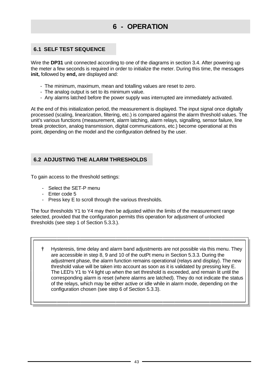### **6 - OPERATION**

### **6.1 SELF TEST SEQUENCE**

Wire the **DP31** unit connected according to one of the diagrams in section 3.4. After powering up the meter a few seconds is required in order to initialize the meter. During this time, the messages **init,** followed by **end,** are displayed and:

- The minimum, maximum, mean and totalling values are reset to zero.
- The analog output is set to its minimum value.
- Any alarms latched before the power supply was interrupted are immediately activated.

At the end of this initialization period, the measurement is displayed. The input signal once digitally processed (scaling, linearization, filtering, etc.) is compared against the alarm threshold values. The unit's various functions (measurement, alarm latching, alarm relays, signalling, sensor failure, line break protection, analog transmission, digital communications, etc.) become operational at this point, depending on the model and the configuration defined by the user.

#### **6.2 ADJUSTING THE ALARM THRESHOLDS**

To gain access to the threshold settings:

- Select the SET-P menu
- Enter code 5
- Press key E to scroll through the various thresholds.

The four thresholds Y1 to Y4 may then be adjusted within the limits of the measurement range selected, provided that the configuration permits this operation for adjustment of unlocked thresholds (see step 1 of Section 5.3.3.).

 **†** Hysteresis, time delay and alarm band adjustments are not possible via this menu. They are accessible in step 8, 9 and 10 of the outPt menu in Section 5.3.3. During the adjustment phase, the alarm function remains operational (relays and display). The new threshold value will be taken into account as soon as it is validated by pressing key E. The LED's Y1 to Y4 light up when the set threshold is exceeded, and remain lit until the corresponding alarm is reset (where alarms are latched). They do not indicate the status of the relays, which may be either active or idle while in alarm mode, depending on the configuration chosen (see step 6 of Section 5.3.3).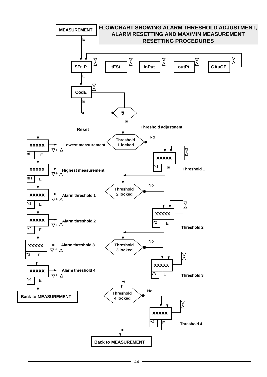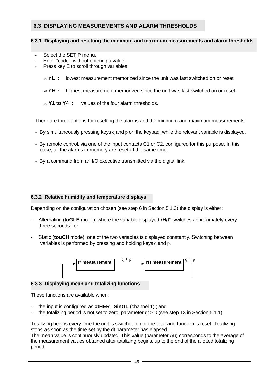#### **6.3 DISPLAYING MEASUREMENTS AND ALARM THRESHOLDS**

#### **6.3.1 Displaying and resetting the minimum and maximum measurements and alarm thresholds**

- Select the SET.P menu.
- Enter "code", without entering a value.
- Press key E to scroll through variables.
	- $\mathbb{\mathbb{Z}}$  **nL** : lowest measurement memorized since the unit was last switched on or reset.
	- $≤$  **nH :** highest measurement memorized since the unit was last switched on or reset.
	- *<u><b>× Y1 to Y4* : values of the four alarm thresholds.</u>

There are three options for resetting the alarms and the minimum and maximum measurements:

- By simultaneously pressing keys q and p on the keypad, while the relevant variable is displayed.
- By remote control, via one of the input contacts C1 or C2, configured for this purpose. In this case, all the alarms in memory are reset at the same time.
- By a command from an I/O executive transmitted via the digital link.

#### **6.3.2 Relative humidity and temperature displays**

Depending on the configuration chosen (see step 6 in Section 5.1.3) the display is either:

- Alternating (**toGLE** mode): where the variable displayed **rH/t°** switches approximately every three seconds ; or
- Static (**touCH** mode): one of the two variables is displayed constantly. Switching between variables is performed by pressing and holding keys q and p.



#### **6.3.3 Displaying mean and totalizing functions**

These functions are available when:

- the input is configured as **otHER SinGL** (channel 1) ; and
- the totalizing period is not set to zero: parameter  $dt > 0$  (see step 13 in Section 5.1.1)

Totalizing begins every time the unit is switched on or the totalizing function is reset. Totalizing stops as soon as the time set by the dt parameter has elapsed.

The mean value is continuously updated. This value (parameter Au) corresponds to the average of the measurement values obtained after totalizing begins, up to the end of the allotted totalizing period.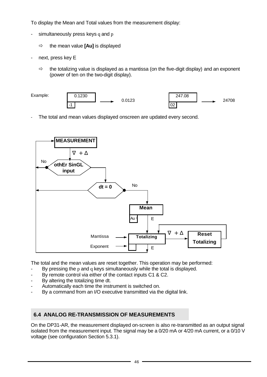To display the Mean and Total values from the measurement display:

- simultaneously press keys q and p
	- $\Rightarrow$  the mean value **[Au]** is displayed
- next, press key E
	- $\Rightarrow$  the totalizing value is displayed as a mantissa (on the five-digit display) and an exponent (power of ten on the two-digit display).



The total and mean values displayed onscreen are updated every second.



The total and the mean values are reset together. This operation may be performed:

- By pressing the  $p$  and  $q$  keys simultaneously while the total is displayed.
- By remote control via either of the contact inputs C1 & C2.
- By altering the totalizing time dt.
- Automatically each time the instrument is switched on.
- By a command from an I/O executive transmitted via the digital link.

#### **6.4 ANALOG RE-TRANSMISSION OF MEASUREMENTS**

On the DP31-AR, the measurement displayed on-screen is also re-transmitted as an output signal isolated from the measurement input. The signal may be a 0/20 mA or 4/20 mA current, or a 0/10 V voltage (see configuration Section 5.3.1).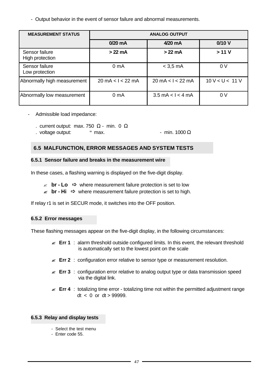- Output behavior in the event of sensor failure and abnormal measurements.

| <b>MEASUREMENT STATUS</b>         | <b>ANALOG OUTPUT</b>                |                                     |                 |
|-----------------------------------|-------------------------------------|-------------------------------------|-----------------|
|                                   | $0/20$ mA                           | 4/20 mA                             | 0/10V           |
| Sensor failure<br>High protection | $>22$ mA                            | $>22 \text{ mA}$                    | >11V            |
| Sensor failure<br>Low protection  | 0 <sub>m</sub> A                    | $<$ 3.5 mA                          | 0 <sup>V</sup>  |
| Abnormally high measurement       | $20 \text{ mA} < l < 22 \text{ mA}$ | $20 \text{ mA} < l < 22 \text{ mA}$ | 10 V < U < 11 V |
| Abnormally low measurement        | 0 <sub>m</sub> A                    | $3.5 \text{ mA} < l < 4 \text{ mA}$ | 0 V             |

- Admissible load impedance:
	- . current output: max. 750  $\Omega$  min. 0  $\Omega$
	- $.$  voltage output:  $\degree$  max.  $\degree$  min. 1000 Ω

#### **6.5 MALFUNCTION, ERROR MESSAGES AND SYSTEM TESTS**

#### **6.5.1 Sensor failure and breaks in the measurement wire**

In these cases, a flashing warning is displayed on the five-digit display.

- $\text{I}$  **br Lo**  $\Rightarrow$  **where measurement failure protection is set to low**
- $≤$  **br Hi**  $\Rightarrow$  where measurement failure protection is set to high.

If relay r1 is set in SECUR mode, it switches into the OFF position.

#### **6.5.2 Error messages**

These flashing messages appear on the five-digit display, in the following circumstances:

- **Err 1** : alarm threshold outside configured limits. In this event, the relevant threshold is automatically set to the lowest point on the scale
- **Err 2** : configuration error relative to sensor type or measurement resolution.
- **Err 3** : configuration error relative to analog output type or data transmission speed via the digital link.
- **Err 4** : totalizing time error totalizing time not within the permitted adjustment range  $dt < 0$  or  $dt > 999999$ .

#### **6.5.3 Relay and display tests**

- Select the test menu
- Enter code 55.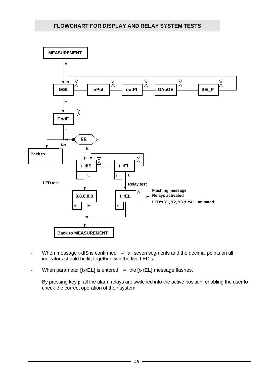

- When message t-dIS is confirmed  $\Rightarrow$  all seven segments and the decimal points on all indicators should be lit, together with the five LED's.
- When parameter **[t-rEL]** is entered  $\Rightarrow$  the **[t-rEL]** message flashes.

By pressing key p, all the alarm relays are switched into the active position, enabling the user to check the correct operation of their system.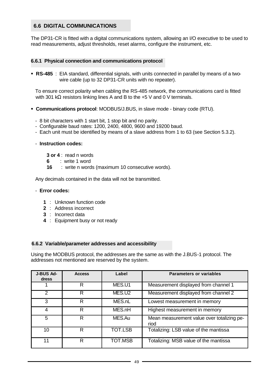#### **6.6 DIGITAL COMMUNICATIONS**

The DP31-CR is fitted with a digital communications system, allowing an I/O executive to be used to read measurements, adjust thresholds, reset alarms, configure the instrument, etc.

#### **6.6.1 Physical connection and communications protocol**

ß **RS-485** : EIA standard, differential signals, with units connected in parallel by means of a twowire cable (up to 32 DP31-CR units with no repeater).

 To ensure correct polarity when cabling the RS-485 network, the communications card is fitted with 301 kΩ resistors linking lines A and B to the +5 V and 0 V terminals.

- ß **Communications protocol**: MODBUS/J.BUS, in slave mode binary code (RTU).
	- 8 bit characters with 1 start bit, 1 stop bit and no parity.
	- Configurable baud rates: 1200, 2400, 4800, 9600 and 19200 baud.
	- Each unit must be identified by means of a slave address from 1 to 63 (see Section 5.3.2).

#### - **Instruction codes:**

- **3 or 4** : read n words
- **6** : write 1 word
- **16** : write n words (maximum 10 consecutive words).

Any decimals contained in the data will not be transmitted.

#### - **Error codes:**

- **1** : Unknown function code
- **2** : Address incorrect
- **3** : Incorrect data
- **4** : Equipment busy or not ready

#### **6.6.2 Variable/parameter addresses and accessibility**

Using the MODBUS protocol, the addresses are the same as with the J.BUS-1 protocol. The addresses not mentioned are reserved by the system.

| <b>J-BUS Ad-</b><br>dress | <b>Access</b> | Label          | <b>Parameters or variables</b>                     |
|---------------------------|---------------|----------------|----------------------------------------------------|
|                           | R             | MES.U1         | Measurement displayed from channel 1               |
| 2                         | R             | MES.U2         | Measurement displayed from channel 2               |
| 3                         | R             | MES.nL         | Lowest measurement in memory                       |
| 4                         | R             | MES.nH         | Highest measurement in memory                      |
| 5                         | R             | MES.Au         | Mean measurement value over totalizing pe-<br>riod |
| 10                        | R             | <b>TOT.LSB</b> | Totalizing: LSB value of the mantissa              |
| 11                        | R             | <b>TOT.MSB</b> | Totalizing: MSB value of the mantissa              |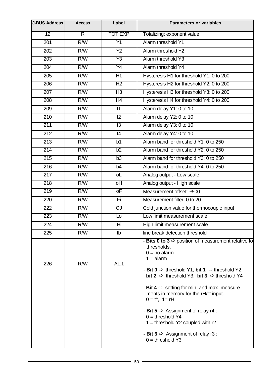| <b>J-BUS Address</b> | <b>Access</b>           | Label                    | <b>Parameters or variables</b>                                                                                                                                                                                                                                                                                                                                                                                                                                                                                                                                                                     |
|----------------------|-------------------------|--------------------------|----------------------------------------------------------------------------------------------------------------------------------------------------------------------------------------------------------------------------------------------------------------------------------------------------------------------------------------------------------------------------------------------------------------------------------------------------------------------------------------------------------------------------------------------------------------------------------------------------|
| 12                   | $\overline{\mathsf{R}}$ | TOT.EXP                  | Totalizing: exponent value                                                                                                                                                                                                                                                                                                                                                                                                                                                                                                                                                                         |
| 201                  | R/W                     | $\overline{Y1}$          | Alarm threshold Y1                                                                                                                                                                                                                                                                                                                                                                                                                                                                                                                                                                                 |
| $\overline{202}$     | R/W                     | $\overline{Y2}$          | Alarm threshold Y2                                                                                                                                                                                                                                                                                                                                                                                                                                                                                                                                                                                 |
| 203                  | R/W                     | Y3                       | Alarm threshold Y3                                                                                                                                                                                                                                                                                                                                                                                                                                                                                                                                                                                 |
| 204                  | R/W                     | $\overline{Y4}$          | Alarm threshold Y4                                                                                                                                                                                                                                                                                                                                                                                                                                                                                                                                                                                 |
| $\overline{205}$     | R/W                     | H1                       | Hysteresis H1 for threshold Y1: 0 to 200                                                                                                                                                                                                                                                                                                                                                                                                                                                                                                                                                           |
| 206                  | R/W                     | H <sub>2</sub>           | Hysteresis H2 for threshold Y2: 0 to 200                                                                                                                                                                                                                                                                                                                                                                                                                                                                                                                                                           |
| 207                  | R/W                     | H <sub>3</sub>           | Hysteresis H3 for threshold Y3: 0 to 200                                                                                                                                                                                                                                                                                                                                                                                                                                                                                                                                                           |
| 208                  | R/W                     | H4                       | Hysteresis H4 for threshold Y4: 0 to 200                                                                                                                                                                                                                                                                                                                                                                                                                                                                                                                                                           |
| 209                  | R/W                     | $\overline{t}$           | Alarm delay Y1: 0 to 10                                                                                                                                                                                                                                                                                                                                                                                                                                                                                                                                                                            |
| $\overline{210}$     | R/W                     | t2                       | Alarm delay Y2: 0 to 10                                                                                                                                                                                                                                                                                                                                                                                                                                                                                                                                                                            |
| 211                  | R/W                     | t3                       | Alarm delay Y3: 0 to 10                                                                                                                                                                                                                                                                                                                                                                                                                                                                                                                                                                            |
| 212                  | R/W                     | t4                       | Alarm delay Y4: 0 to 10                                                                                                                                                                                                                                                                                                                                                                                                                                                                                                                                                                            |
| $\overline{213}$     | R/W                     | b1                       | Alarm band for threshold Y1: 0 to 250                                                                                                                                                                                                                                                                                                                                                                                                                                                                                                                                                              |
| 214                  | R/W                     | b2                       | Alarm band for threshold Y2: 0 to 250                                                                                                                                                                                                                                                                                                                                                                                                                                                                                                                                                              |
| 215                  | R/W                     | b <sub>3</sub>           | Alarm band for threshold Y3: 0 to 250                                                                                                                                                                                                                                                                                                                                                                                                                                                                                                                                                              |
| $\overline{216}$     | R/W                     | b4                       | Alarm band for threshold Y4: 0 to 250                                                                                                                                                                                                                                                                                                                                                                                                                                                                                                                                                              |
| $\overline{217}$     | R/W                     | oL                       | Analog output - Low scale                                                                                                                                                                                                                                                                                                                                                                                                                                                                                                                                                                          |
| $\overline{218}$     | R/W                     | $\overline{H}$           | Analog output - High scale                                                                                                                                                                                                                                                                                                                                                                                                                                                                                                                                                                         |
| 219                  | R/W                     | $\overline{\mathsf{oF}}$ | Measurement offset: ±500                                                                                                                                                                                                                                                                                                                                                                                                                                                                                                                                                                           |
| 220                  | R/W                     | Fi                       | Measurement filter: 0 to 20                                                                                                                                                                                                                                                                                                                                                                                                                                                                                                                                                                        |
| 222                  | R/W                     | $\overline{C}$           | Cold junction value for thermocouple input                                                                                                                                                                                                                                                                                                                                                                                                                                                                                                                                                         |
| 223                  | R/W                     | L <sub>o</sub>           | Low limit measurement scale                                                                                                                                                                                                                                                                                                                                                                                                                                                                                                                                                                        |
| 224                  | R/W                     | Hi                       | High limit measurement scale                                                                                                                                                                                                                                                                                                                                                                                                                                                                                                                                                                       |
| 225                  | R/W                     | tb                       | line break detection threshold                                                                                                                                                                                                                                                                                                                                                                                                                                                                                                                                                                     |
| 226                  | R/W                     | AL.1                     | - Bits 0 to 3 $\Rightarrow$ position of measurement relative to<br>thresholds.<br>$0 = no$ alarm<br>$1 =$ alarm<br>- Bit $0 \Rightarrow$ threshold Y1, bit 1 $\Rightarrow$ threshold Y2,<br><b>bit 2</b> $\Rightarrow$ threshold Y3, <b>bit 3</b> $\Rightarrow$ threshold Y4<br>- Bit $4 \Rightarrow$ setting for min. and max. measure-<br>ments in memory for the rH/t° input.<br>$0 = t^{\circ}$ , 1 = rH<br>- Bit 5 $\Rightarrow$ Assignment of relay r4 :<br>$0 =$ threshold Y4<br>$1 =$ threshold Y2 coupled with r2<br>- Bit 6 $\Rightarrow$ Assignment of relay r3 :<br>$0 =$ threshold Y3 |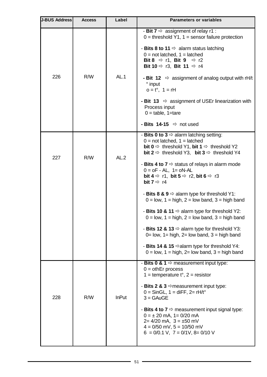| <b>J-BUS Address</b> | <b>Access</b> | Label        | <b>Parameters or variables</b>                                                                                                                                                                                                                                                                      |
|----------------------|---------------|--------------|-----------------------------------------------------------------------------------------------------------------------------------------------------------------------------------------------------------------------------------------------------------------------------------------------------|
|                      | R/W           | AL.1         | - Bit $7 \Rightarrow$ assignment of relay r1 :<br>$0 =$ threshold Y1, 1 = sensor failure protection<br>- Bits 8 to 11 $\Rightarrow$ alarm status latching<br>$0 = not$ latched, $1 =$ latched<br>Bit 8 $\Rightarrow$ r1, Bit 9 $\Rightarrow$ r2<br>Bit 10 $\Rightarrow$ r3, Bit 11 $\Rightarrow$ r4 |
| 226                  |               |              | - Bit 12 $\Rightarrow$ assignment of analog output with rH/t<br>° input<br>$o = t^{\circ}, 1 = rH$                                                                                                                                                                                                  |
|                      |               |              | - Bit 13 $\Rightarrow$ assignment of USEr linearization with<br>Process input<br>$0 =$ table, 1=tare                                                                                                                                                                                                |
|                      |               |              | - Bits 14-15 $\Rightarrow$ not used                                                                                                                                                                                                                                                                 |
| 227                  | R/W           | AL.2         | - Bits 0 to 3 $\Rightarrow$ alarm latching setting:<br>$0 = not$ latched, $1 =$ latched<br><b>bit 0</b> $\Rightarrow$ threshold Y1, <b>bit 1</b> $\Rightarrow$ threshold Y2<br><b>bit 2</b> $\Rightarrow$ threshold Y3, <b>bit 3</b> $\Rightarrow$ threshold Y4                                     |
|                      |               |              | - Bits 4 to 7 $\Rightarrow$ status of relays in alarm mode<br>$0 = oF - AL$ , $1 = oN-AL$<br>bit $4 \Rightarrow r1$ , bit $5 \Rightarrow r2$ , bit $6 \Rightarrow r3$<br><b>bit 7</b> $\Rightarrow$ r4                                                                                              |
|                      |               |              | - Bits 8 & 9 $\Leftrightarrow$ alarm type for threshold Y1:<br>$0 =$ low, 1 = high, 2 = low band, 3 = high band                                                                                                                                                                                     |
|                      |               |              | - Bits 10 & 11 $\Rightarrow$ alarm type for threshold Y2:<br>$0 =$ low, 1 = high, 2 = low band, 3 = high band                                                                                                                                                                                       |
|                      |               |              | - Bits 12 & 13 $\Leftrightarrow$ alarm type for threshold Y3:<br>$0=$ low, $1=$ high, $2=$ low band, $3=$ high band                                                                                                                                                                                 |
|                      |               |              | - Bits 14 & 15 $\Rightarrow$ alarm type for threshold Y4:<br>$0 =$ low, 1 = high, 2= low band, 3 = high band                                                                                                                                                                                        |
| 228                  | R/W           | <b>InPut</b> | - Bits 0 & 1 $\Rightarrow$ measurement input type:<br>$0 =$ othEr process<br>1 = temperature $t^{\circ}$ , 2 = resistor                                                                                                                                                                             |
|                      |               |              | - Bits 2 & 3 $\Rightarrow$ measurement input type:<br>$0 =$ SinGL, $1 =$ diFF, $2 =$ rH/t°<br>$3 = GAuGE$                                                                                                                                                                                           |
|                      |               |              | - Bits 4 to 7 $\Rightarrow$ measurement input signal type:<br>$0 = \pm 20$ mA, $1 = 0/20$ mA<br>$2=4/20$ mA, $3 = \pm 50$ mV<br>$4 = 0/50$ mV, $5 = 10/50$ mV<br>$6 = 0/0.1$ V, $7 = 0/1$ V, $8 = 0/10$ V                                                                                           |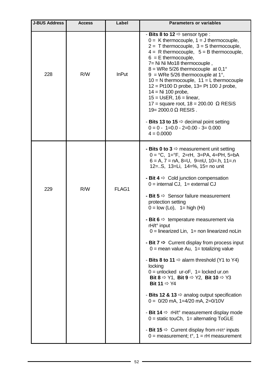| <b>J-BUS Address</b> | <b>Access</b> | Label        | <b>Parameters or variables</b>                                                                                                                                                                                                                                                                                                                                                                                                                                                                                                                                                                                                                                                                                                                                                                                                                                                                                                                                                                                                                                                                                                                                                                                |
|----------------------|---------------|--------------|---------------------------------------------------------------------------------------------------------------------------------------------------------------------------------------------------------------------------------------------------------------------------------------------------------------------------------------------------------------------------------------------------------------------------------------------------------------------------------------------------------------------------------------------------------------------------------------------------------------------------------------------------------------------------------------------------------------------------------------------------------------------------------------------------------------------------------------------------------------------------------------------------------------------------------------------------------------------------------------------------------------------------------------------------------------------------------------------------------------------------------------------------------------------------------------------------------------|
| 228                  | R/W           | <b>InPut</b> | - Bits 8 to 12 $\Rightarrow$ sensor type :<br>$0 = K$ thermocouple, $1 = J$ thermocouple,<br>$2 = T$ thermocouple, $3 = S$ thermocouple,<br>$4 = R$ thermocouple, $5 = B$ thermocouple,<br>$6 = E$ thermocouple,<br>7= Ni Ni Mo18 thermocouple,<br>$8 =$ WRe 5/26 thermocouple at 0,1 $^{\circ}$<br>$9 =$ WRe 5/26 thermocouple at 1°,<br>$10 = N$ thermocouple, $11 = L$ thermocouple<br>$12 =$ Pt100 D probe, $13 =$ Pt 100 J probe,<br>$14 = Ni 100$ probe,<br>$15 = \text{UsER}, 16 = \text{linear},$<br>17 = square root, $18 = 200.00 \Omega$ RESiS<br>$19 = 2000.0$ Ω RESIS.<br>- Bits 13 to 15 $\Rightarrow$ decimal point setting<br>$0 = 0 - 1 = 0.0 - 2 = 0.00 - 3 = 0.000$<br>$4 = 0.0000$                                                                                                                                                                                                                                                                                                                                                                                                                                                                                                        |
| 229                  | R/W           | FLAG1        | - Bits 0 to 3 $\Rightarrow$ measurement unit setting<br>$0 = ^{\circ}C$ , 1= $^{\circ}F$ , 2=rH, 3=PA, 4=PH, 5=bA<br>$6 = A$ , $7 = nA$ , $8=U$ , $9=nU$ , $10=.h$ , $11=.n$<br>12=S, 13=Li, 14=%, 15= no unit<br>- Bit $4 \Rightarrow$ Cold junction compensation<br>$0 =$ internal CJ, $1 =$ external CJ<br>- Bit $5 \Rightarrow$ Sensor failure measurement<br>protection setting<br>$0 =$ low (Lo), $1 =$ high (Hi)<br>- Bit 6 $\Rightarrow$ temperature measurement via<br>$rH/t^{\circ}$ input<br>$0 =$ linearized Lin, $1 =$ non linearized noLin<br>- Bit $7 \Rightarrow$ Current display from process input<br>$0 =$ mean value Au, $1 =$ totalizing value<br>- Bits 8 to 11 $\Rightarrow$ alarm threshold (Y1 to Y4)<br>locking<br>$0 =$ unlocked ur-oF, $1 =$ locked ur.on<br>Bit 8 $\Rightarrow$ Y1, Bit 9 $\Rightarrow$ Y2, Bit 10 $\Rightarrow$ Y3<br>Bit 11 $\Rightarrow$ Y4<br>- Bits 12 & 13 $\Rightarrow$ analog output specification<br>$0 = 0/20$ mA, 1=4/20 mA, 2=0/10V<br>- Bit 14 $\Rightarrow$ rH/t° measurement display mode<br>$0 =$ static touCh, $1 =$ alternating ToGLE<br>- Bit 15 $\Rightarrow$ Current display from rH/t° inputs<br>$0 =$ measurement; t°, 1 = rH measurement |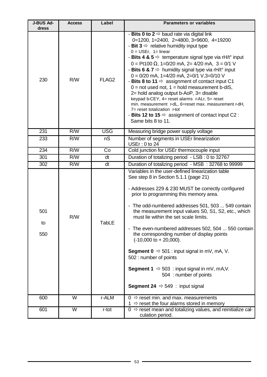| <b>J-BUS Ad-</b> | <b>Access</b>           | Label             | <b>Parameters or variables</b>                                                                                                                                                                                                                                                                                                                                                                                                                                                                                                                                                                                                                                                                                                                                                                                                                                          |  |
|------------------|-------------------------|-------------------|-------------------------------------------------------------------------------------------------------------------------------------------------------------------------------------------------------------------------------------------------------------------------------------------------------------------------------------------------------------------------------------------------------------------------------------------------------------------------------------------------------------------------------------------------------------------------------------------------------------------------------------------------------------------------------------------------------------------------------------------------------------------------------------------------------------------------------------------------------------------------|--|
| dress            |                         |                   |                                                                                                                                                                                                                                                                                                                                                                                                                                                                                                                                                                                                                                                                                                                                                                                                                                                                         |  |
| 230              | R/W                     | FLAG <sub>2</sub> | - Bits 0 to 2 $\Rightarrow$ baud rate via digital link<br>$0=1200, 1=2400, 2=4800, 3=9600, 4=19200$<br>- Bit 3 $\Rightarrow$ relative humidity input type<br>$0 = \text{USEr}, 1 = \text{linear}$<br>- Bits 4 & 5 $\Rightarrow$ temperature signal type via rH/t <sup>o</sup> input<br>$0 = Pt100 \Omega$ , 1=0/20 mA, 2= 4/20 mA, 3 = 0/1 V<br>- Bits 6 & 7 $\Rightarrow$ humidity signal type via rH/t <sup>o</sup> input<br>$0 = 0/20$ mA, 1=4/20 mA, 2=0/1 V,3=0/10 V<br>- Bits 8 to 11 $\Rightarrow$ assignment of contact input C1<br>$0 = not used not, 1 = hold measurement b-diS,$<br>2= hold analog output b-AoP, 3= disable<br>keypad b-CEY, 4= reset alarms r-ALr, 5= reset<br>min. measurement r-dL, 6=reset max. measurement r-dH,<br>7= reset totalization r-tot<br>- Bits 12 to 15 $\Rightarrow$ assignment of contact input C2 :<br>Same bits 8 to 11. |  |
| 231              | R/W                     | <b>USG</b>        | Measuring bridge power supply voltage                                                                                                                                                                                                                                                                                                                                                                                                                                                                                                                                                                                                                                                                                                                                                                                                                                   |  |
| 233              | R/W                     | nS                | Number of segments in USEr linearization<br>USEr: 0 to 24                                                                                                                                                                                                                                                                                                                                                                                                                                                                                                                                                                                                                                                                                                                                                                                                               |  |
| 234              | R/W                     | Co                | Cold junction for USEr thermocouple input                                                                                                                                                                                                                                                                                                                                                                                                                                                                                                                                                                                                                                                                                                                                                                                                                               |  |
| 301              | R/W                     | dt                | Duration of totalizing period - LSB: 0 to 32767                                                                                                                                                                                                                                                                                                                                                                                                                                                                                                                                                                                                                                                                                                                                                                                                                         |  |
| 302              | R/W                     | dt                | Duration of totalizing period - MSB : 32768 to 99999                                                                                                                                                                                                                                                                                                                                                                                                                                                                                                                                                                                                                                                                                                                                                                                                                    |  |
| 501<br>to<br>550 | R/W                     | <b>TabLE</b>      | Variables in the user-defined linearization table<br>See step 8 in Section 5.1.1 (page 21)<br>- Addresses 229 & 230 MUST be correctly configured<br>prior to programming this memory area.<br>- The odd-numbered addresses 501, 503  549 contain<br>the measurement input values S0, S1, S2, etc., which<br>must lie within the set scale limits.<br>- The even-numbered addresses 502, 504  550 contain<br>the corresponding number of display points<br>$(-10,000 \text{ to } +20,000).$<br><b>Segment 0</b> $\Rightarrow$ 501 : input signal in mV, mA, V.<br>502 : number of points<br><b>Segment 1</b> $\Rightarrow$ 503 : input signal in mV, mA,V.<br>504 : number of points<br><b>Segment 24</b> $\Rightarrow$ 549 : input signal                                                                                                                               |  |
| 600              | W                       | r-ALM             | $0 \Rightarrow$ reset min. and max. measurements<br>1 $\Rightarrow$ reset the four alarms stored in memory                                                                                                                                                                                                                                                                                                                                                                                                                                                                                                                                                                                                                                                                                                                                                              |  |
| 601              | $\overline{\mathsf{W}}$ | r-tot             | $0 \Rightarrow$ reset mean and totalizing values, and reinitialize cal-<br>culation period.                                                                                                                                                                                                                                                                                                                                                                                                                                                                                                                                                                                                                                                                                                                                                                             |  |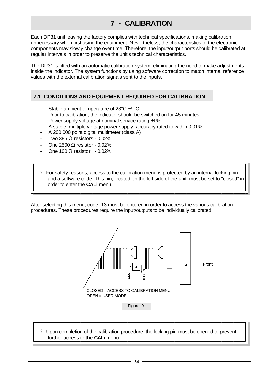### **7 - CALIBRATION**

Each DP31 unit leaving the factory complies with technical specifications, making calibration unnecessary when first using the equipment. Nevertheless, the characteristics of the electronic components may slowly change over time. Therefore, the input/output ports should be calibrated at regular intervals in order to preserve the unit's technical characteristics.

The DP31 is fitted with an automatic calibration system, eliminating the need to make adjustments inside the indicator. The system functions by using software correction to match internal reference values with the external calibration signals sent to the inputs.

#### **7.1 CONDITIONS AND EQUIPMENT REQUIRED FOR CALIBRATION**

- Stable ambient temperature of 23°C ±1°C
- Prior to calibration, the indicator should be switched on for 45 minutes
- Power supply voltage at nominal service rating  $\pm 1\%$ .
- A stable, multiple voltage power supply, accuracy-rated to within 0.01%.
- A 200,000 point digital multimeter (class A)
- Two 385  $\Omega$  resistors 0.02%
- One 2500  $\Omega$  resistor 0.02%
- One 100 Ω resistor 0.02%
- **†** For safety reasons, access to the calibration menu is protected by an internal locking pin and a software code. This pin, located on the left side of the unit, must be set to "closed" in order to enter the **CALi** menu.

After selecting this menu, code -13 must be entered in order to access the various calibration procedures. These procedures require the input/outputs to be individually calibrated.



 **†** Upon completion of the calibration procedure, the locking pin must be opened to prevent further access to the **CALi** menu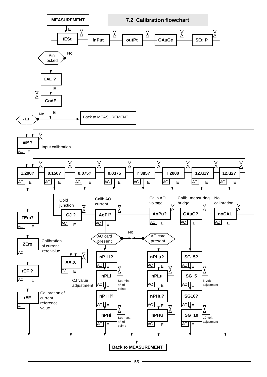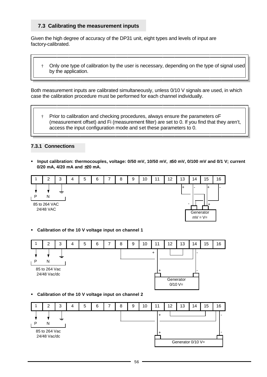#### **7.3 Calibrating the measurement inputs**

Given the high degree of accuracy of the DP31 unit, eight types and levels of input are factory-calibrated.

 † Only one type of calibration by the user is necessary, depending on the type of signal used by the application.

Both measurement inputs are calibrated simultaneously, unless 0/10 V signals are used, in which case the calibration procedure must be performed for each channel individually.

 † Prior to calibration and checking procedures, always ensure the parameters oF (measurement offset) and Fi (measurement filter) are set to 0. If you find that they aren't, access the input configuration mode and set these parameters to 0.

#### **7.3.1 Connections**

ß **Input calibration: thermocouples, voltage: 0/50 mV, 10/50 mV, ±50 mV, 0/100 mV and 0/1 V; current 0/20 mA, 4/20 mA and ±20 mA.**



ß **Calibration of the 10 V voltage input on channel 1**



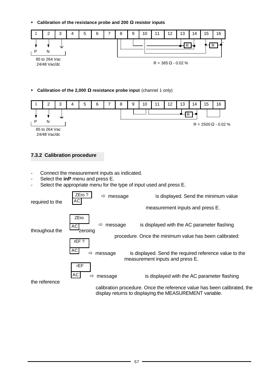ß **Calibration of the resistance probe and 200 W resistor inputs**



**Calibration of the 2,000 W resistance probe input** (channel 1 only)



#### **7.3.2 Calibration procedure**

- Connect the measurement inputs as indicated.
- Select the **inP** menu and press E.
- Select the appropriate menu for the type of input used and press E.

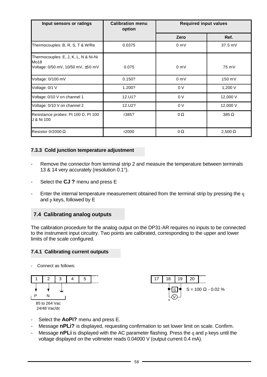| Input sensors or ratings                                                           | <b>Calibration menu</b><br>option | <b>Required input values</b> |                |
|------------------------------------------------------------------------------------|-----------------------------------|------------------------------|----------------|
|                                                                                    |                                   | Zero                         | Ref.           |
| Thermocouples: B, R, S, T & W/Re                                                   | 0.0375                            | 0 mV                         | $37.5$ mV      |
| Thermocouples: E, J, K, L, N & Ni-Ni<br>Mo18<br>Voltage: 0/50 mV, 10/50 mV, ±50 mV | 0.075                             | $0 \text{ mV}$               | 75 mV          |
| Voltage: 0/100 mV                                                                  | 0.150?                            | $0 \text{ mV}$               | 150 mV         |
| Voltage: 0/1 V                                                                     | 1.200?                            | 0 <sub>V</sub>               | 1,200 V        |
| Voltage: 0/10 V on channel 1                                                       | 12.U1?                            | 0 <sub>V</sub>               | 12,000 V       |
| Voltage: 0/10 V on channel 2                                                       | 12.U2?                            | 0 <sub>V</sub>               | 12,000 V       |
| Resistance probes: Pt 100 D, Pt 100<br>J & Ni 100                                  | r385?                             | 0Ω                           | $385 \Omega$   |
| Resistor $0/2000 \Omega$                                                           | r2000                             | $\Omega$                     | 2,500 $\Omega$ |

#### **7.3.3 Cold junction temperature adjustment**

- Remove the connector from terminal strip 2 and measure the temperature between terminals 13 & 14 very accurately (resolution 0.1°).
- Select the **CJ ?** menu and press E
- Enter the internal temperature measurement obtained from the terminal strip by pressing the q and p keys, followed by E

#### **7.4 Calibrating analog outputs**

The calibration procedure for the analog output on the DP31-AR requires no inputs to be connected to the instrument input circuitry. Two points are calibrated, corresponding to the upper and lower limits of the scale configured.

#### **7.4.1 Calibrating current outputs**

Connect as follows:





- Select the **AoPi?** menu and press E.
- Message **nPLi?** is displayed, requesting confirmation to set lower limit on scale. Confirm.
- Message **nPLi** is displayed with the AC parameter flashing. Press the q and p keys until the voltage displayed on the voltmeter reads 0.04000 V (output current 0.4 mA).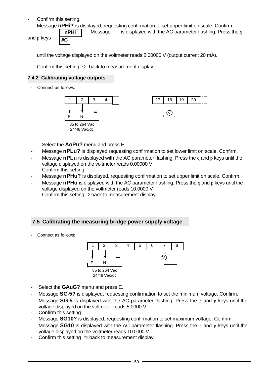- Confirm this setting.
- Message nPHi? is displayed, requesting confirmation to set upper limit on scale. Confirm.

and p keys

**nPHi AC**

Message is displayed with the AC parameter flashing. Press the q

until the voltage displayed on the voltmeter reads 2.00000 V (output current 20 mA).

Confirm this setting  $\Rightarrow$  back to measurement display.

#### **7.4.2 Calibrating voltage outputs**

- Connect as follows:



- Select the **AoPu?** menu and press E.
- Message **nPLu?** is displayed requesting confirmation to set lower limit on scale. Confirm.
- Message **nPLu** is displayed with the AC parameter flashing. Press the q and p keys until the voltage displayed on the voltmeter reads 0.00000 V.
- Confirm this setting.
- Message **nPHu?** is displayed, requesting confirmation to set upper limit on scale. Confirm.
- Message **nPHu** is displayed with the AC parameter flashing. Press the q and p keys until the voltage displayed on the voltmeter reads 10.0000 V
- Confirm this setting  $\Rightarrow$  back to measurement display.

#### **7.5 Calibrating the measuring bridge power supply voltage**

Connect as follows:



- Select the **GAuG?** menu and press E.
- Message **SG-5?** is displayed, requesting confirmation to set the minimum voltage. Confirm.
- Message **SG-5** is displayed with the AC parameter flashing. Press the q and p keys until the voltage displayed on the voltmeter reads 5.0000 V.
- Confirm this setting.
- Message **SG10?** is displayed, requesting confirmation to set maximum voltage. Confirm.
- Message **SG10** is displayed with the AC parameter flashing. Press the q and p keys until the voltage displayed on the voltmeter reads 10.0000 V.
- Confirm this setting  $\Rightarrow$  back to measurement display.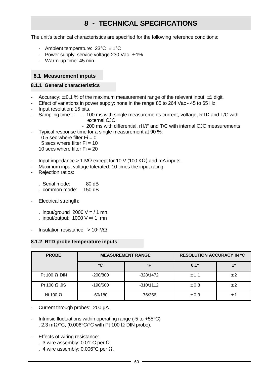## **8 - TECHNICAL SPECIFICATIONS**

The unit's technical characteristics are specified for the following reference conditions:

- Ambient temperature:  $23^{\circ}$ C  $\pm$  1°C
- Power supply: service voltage 230 Vac  $\pm$  1%
- Warm-up time: 45 min.

#### **8.1 Measurement inputs**

#### **8.1.1 General characteristics**

- Accuracy:  $\pm$  0.1 % of the maximum measurement range of the relevant input,  $\pm$ 1 digit.
- Effect of variations in power supply: none in the range 85 to 264 Vac 45 to 65 Hz.
- Input resolution: 15 bits.
- Sampling time: : 100 ms with single measurements current, voltage, RTD and T/C with external CJC
	- 200 ms with differential, rH/t° and T/C with internal CJC measurements Typical response time for a single measurement at 90 %:
	- $0.5$  sec where filter Fi = 0
	- 5 secs where filter  $Fi = 10$
	- 10 secs where filter  $Fi = 20$
- Input impedance > 1 MΩ except for 10 V (100 KΩ) and mA inputs.
- Maximum input voltage tolerated: 10 times the input rating.
- Rejection ratios:
	- . Serial mode: 80 dB
	- . common mode: 150 dB
- Electrical strength:
	- . input/ground  $2000 \text{ V} = / 1 \text{ min}$
	- . input/output:  $1000 V = / 1$  mn
- Insulation resistance:  $> 10$ <sup>s</sup> MQ

#### **8.1.2 RTD probe temperature inputs**

| <b>PROBE</b>        | <b>MEASUREMENT RANGE</b> |             | <b>RESOLUTION ACCURACY IN °C</b> |     |
|---------------------|--------------------------|-------------|----------------------------------|-----|
|                     | °C                       | °F          | $0.1^\circ$                      | 10  |
| Pt 100 $\Omega$ DIN | $-200/800$               | $-328/1472$ | ± 1.1                            | ± 2 |
| Pt 100 $\Omega$ JIS | $-190/600$               | $-310/1112$ | ± 0.8                            | ± 2 |
| Ni 100 $\Omega$     | $-60/180$                | -76/356     | ± 0.3                            | ± 1 |

- Current through probes: 200 µA
- Intrinsic fluctuations within operating range  $(-5)$  to  $+55^{\circ}$ C) . 2.3 m $\Omega$ /°C, (0.006°C/°C with Pt 100  $\Omega$  DIN probe).
- Effects of wiring resistance:
	- . 3 wire assembly: 0.01 $^{\circ}$ C per  $\Omega$
	- . 4 wire assembly: 0.006°C per  $\Omega$ .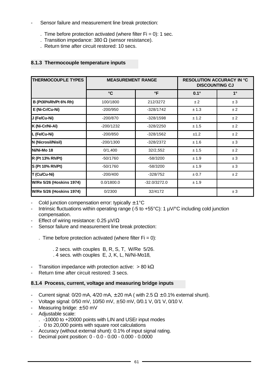- Sensor failure and measurement line break protection:
	- . Time before protection activated (where filter  $Fi = 0$ ): 1 sec.
	- . Transition impedance: 380  $\Omega$  (sensor resistance).
	- . Return time after circuit restored: 10 secs.

#### **8.1.3 Thermocouple temperature inputs**

| <b>THERMOCOUPLE TYPES</b>       | <b>MEASUREMENT RANGE</b> |                | <b>RESOLUTION ACCURACY IN °C</b><br><b>DISCOUNTING CJ</b> |             |
|---------------------------------|--------------------------|----------------|-----------------------------------------------------------|-------------|
|                                 | $\mathbf{C}$             | °F             | $0.1^\circ$                                               | $1^{\circ}$ |
| B (Pt30%Rh/Pt 6% Rh)            | 100/1800                 | 212/3272       | ±2                                                        | ±3          |
| E (Ni-Cr/Cu-Ni)                 | $-200/950$               | $-328/1742$    | ± 1.3                                                     | ±2          |
| J (Fe/Cu-Ni)                    | $-200/870$               | $-328/1598$    | ± 1.2                                                     | ±2          |
| K (Ni-Cr/Ni-Al)                 | -200/1232                | $-328/2250$    | ± 1.5                                                     | ±2          |
| L (Fe/Cu-Ni)                    | $-200/850$               | $-328/1562$    | ±1.2                                                      | ±2          |
| N (Nicrosil/Nisil)              | $-200/1300$              | $-328/2372$    | ± 1.6                                                     | ±3          |
| Ni/Ni-Mo 18                     | 0/1,400                  | 32/2,552       | ± 1.5                                                     | ±2          |
| R (Pt 13% Rh/Pt)                | $-50/1760$               | $-58/3200$     | ± 1.9                                                     | ±3          |
| S (Pt 10% Rh/Pt)                | $-50/1760$               | $-58/3200$     | ± 1.9                                                     | ±3          |
| T (Cu/Cu-Ni)                    | $-200/400$               | $-328/752$     | ± 0.7                                                     | ±2          |
| <b>W/Re 5/26 (Hoskins 1974)</b> | 0.0/1800.0               | $-32.0/3272.0$ | ± 1.9                                                     |             |
| <b>W/Re 5/26 (Hoskins 1974)</b> | 0/2300                   | 32/4172        |                                                           | ±3          |

- Cold junction compensation error: typically  $\pm$  1°C

- Intrinsic fluctuations within operating range (-5 to +55°C): 1 µV/°C including cold junction compensation.
- Effect of wiring resistance:  $0.25 \mu V/\Omega$
- Sensor failure and measurement line break protection:

. Time before protection activated (where filter  $Fi = 0$ ):

 . 2 secs. with couples B, R, S, T, W/Re 5/26. . 4 secs. with couples E, J, K, L, Ni/Ni-Mo18,

- Transition impedance with protection active:  $> 80 \text{ k}\Omega$
- Return time after circuit restored: 3 secs.

#### **8.1.4 Process, current, voltage and measuring bridge inputs**

- Current signal:  $0/20$  mA,  $4/20$  mA,  $\pm 20$  mA ( with 2.5  $\Omega \pm 0.1$ % external shunt).
- Voltage signal: 0/50 mV, 10/50 mV, ± 50 mV, 0/0.1 V, 0/1 V, 0/10 V.
- Measuring bridge:  $\pm 50$  mV
- Adjustable scale:
	- . -10000 to +20000 points with LIN and USEr input modes
	- . 0 to 20,000 points with square root calculations
- Accuracy (without external shunt): 0.1% of input signal rating.
- Decimal point position: 0 0.0 0.00 0.000 0.0000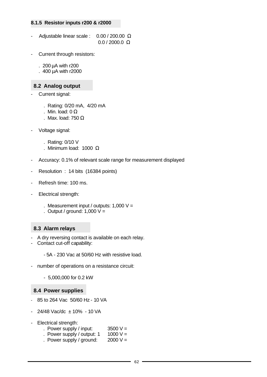#### **8.1.5 Resistor inputs r200 & r2000**

- Adjustable linear scale :  $0.00 / 200.00 \Omega$ 0.0 / 2000.0 Ω
- Current through resistors:

. 200 µA with r200

. 400 µA with r2000

#### **8.2 Analog output**

- Current signal:
	- . Rating: 0/20 mA, 4/20 mA
	- . Min. load:  $0 Ω$
	- . Max. load: 750  $\Omega$
- Voltage signal:
	- . Rating: 0/10 V
	- . Minimum load: 1000  $\Omega$
- Accuracy: 0.1% of relevant scale range for measurement displayed
- Resolution : 14 bits (16384 points)
- Refresh time: 100 ms.
- Electrical strength:
	- . Measurement input / outputs:  $1,000$  V =
	- . Output / ground:  $1,000 \, \text{V} =$

#### **8.3 Alarm relays**

- A dry reversing contact is available on each relay.
- Contact cut-off capability:

- 5A - 230 Vac at 50/60 Hz with resistive load.

- number of operations on a resistance circuit:
	- 5,000,000 for 0.2 kW

#### **8.4 Power supplies**

- 85 to 264 Vac 50/60 Hz 10 VA
- 24/48 Vac/dc ± 10% 10 VA
- Electrical strength:
	- . Power supply / input:  $3500 V =$
	- . Power supply / output:  $1 \quad 1000 \text{ V} =$
	- . Power supply / ground:  $2000 V =$